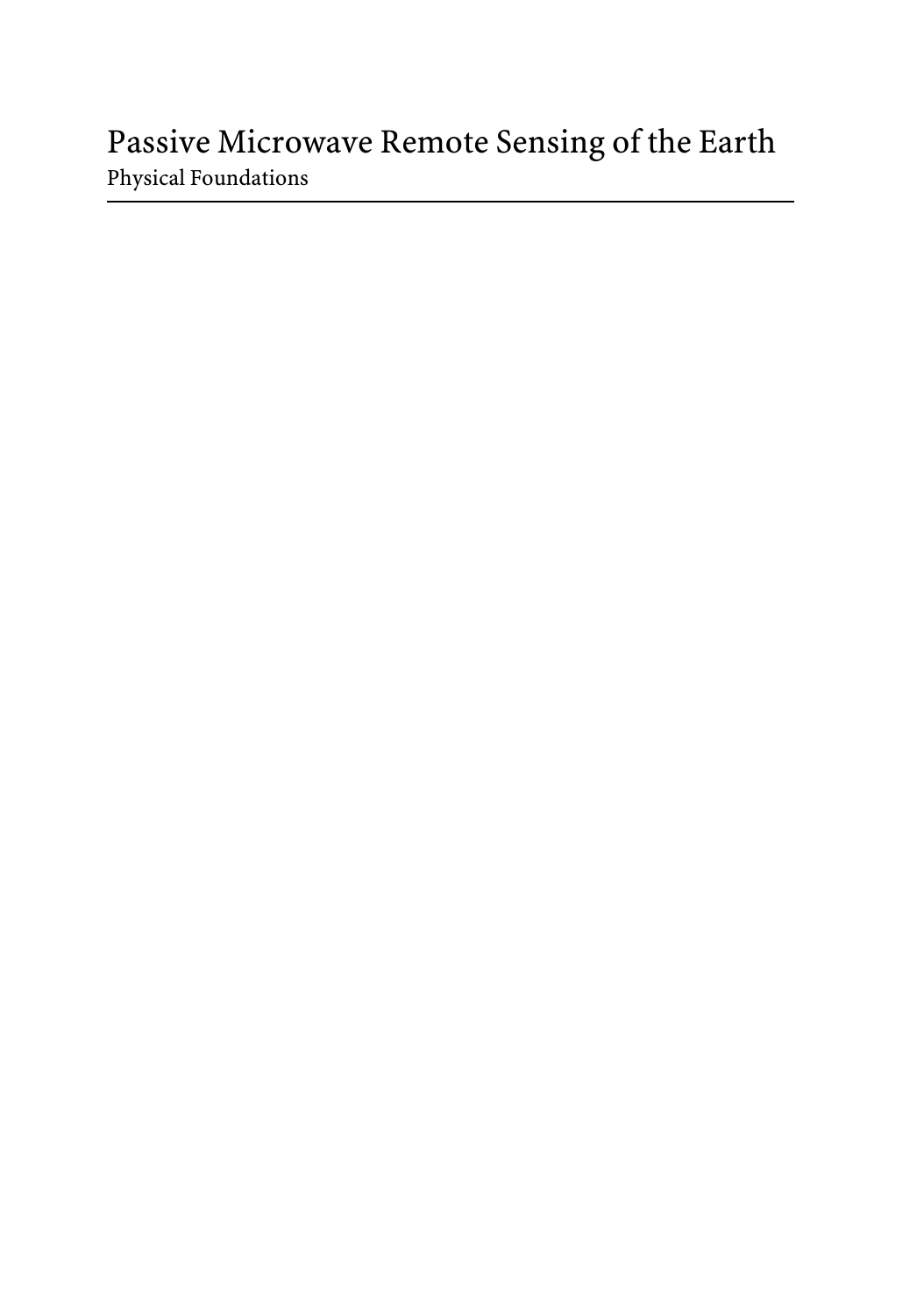### Passive Microwave Remote Sensing of the Earth Physical Foundations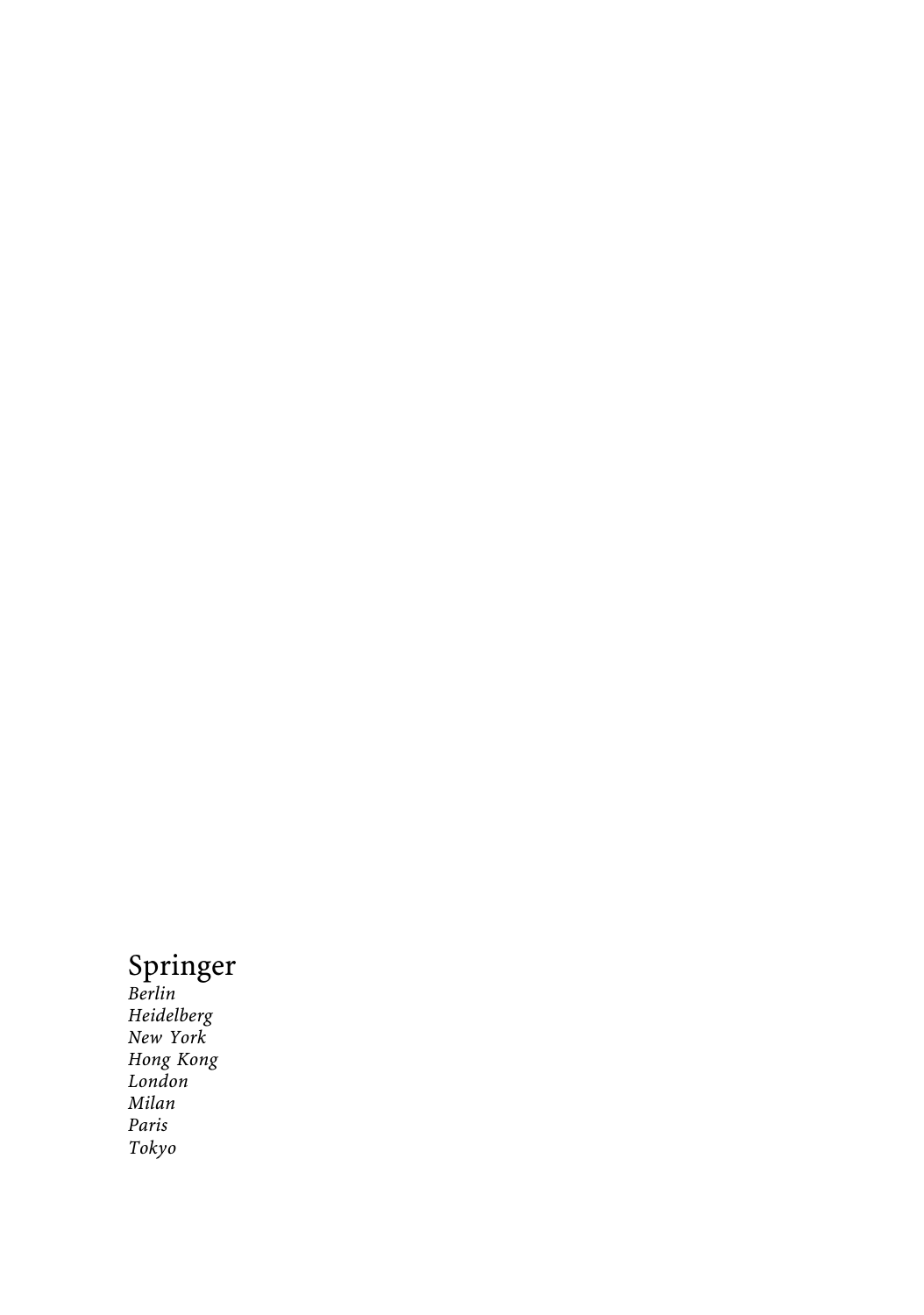## $\underset{\textit{Berlin}}{\text{Springer}}$

Heidelberg New York Hong Kong<br>London Milan Paris Tokyo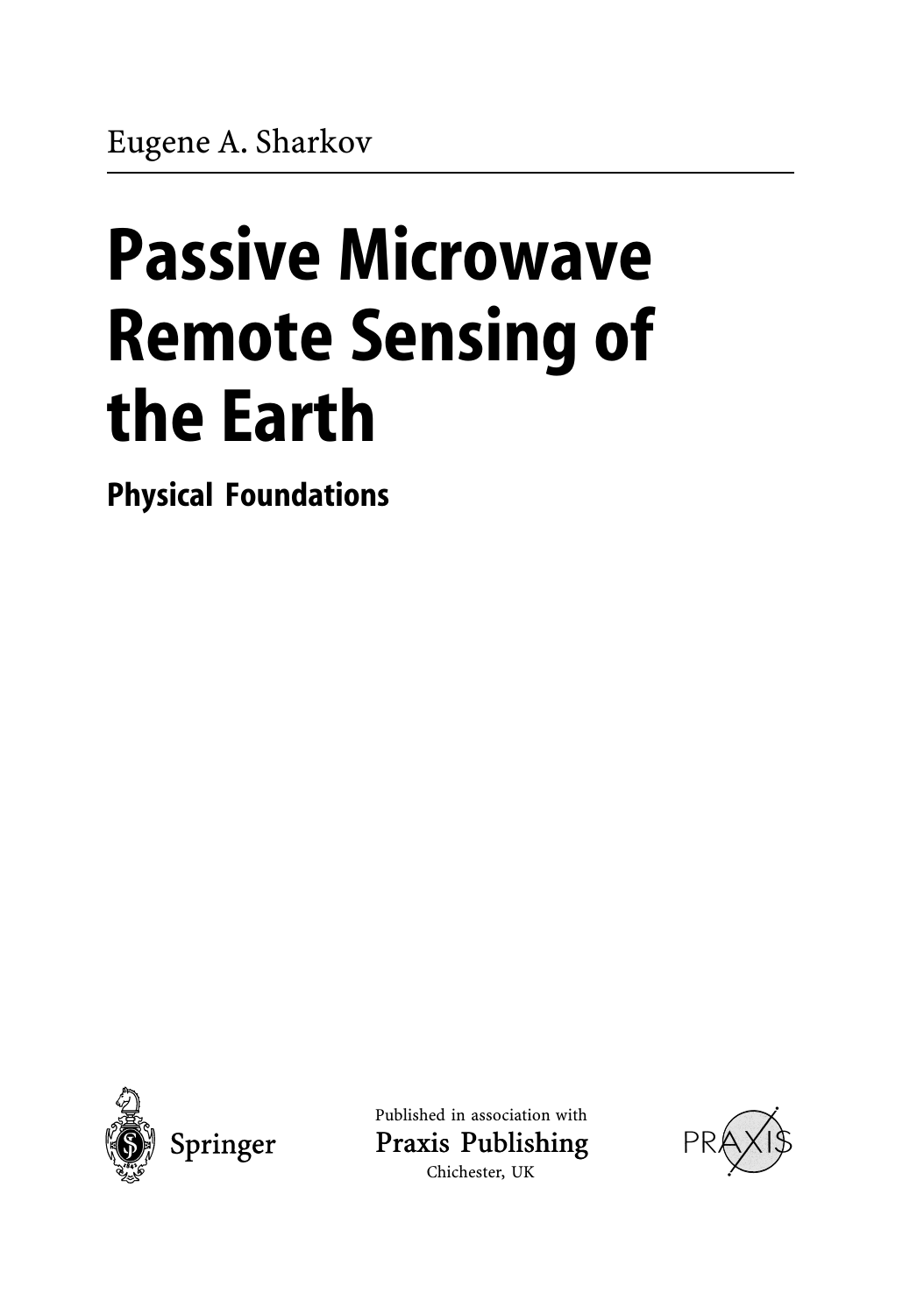# **Passive Microwave Remote Sensing of** the Earth

**Physical Foundations** 



Published in association with Praxis Publishing Chichester, UK

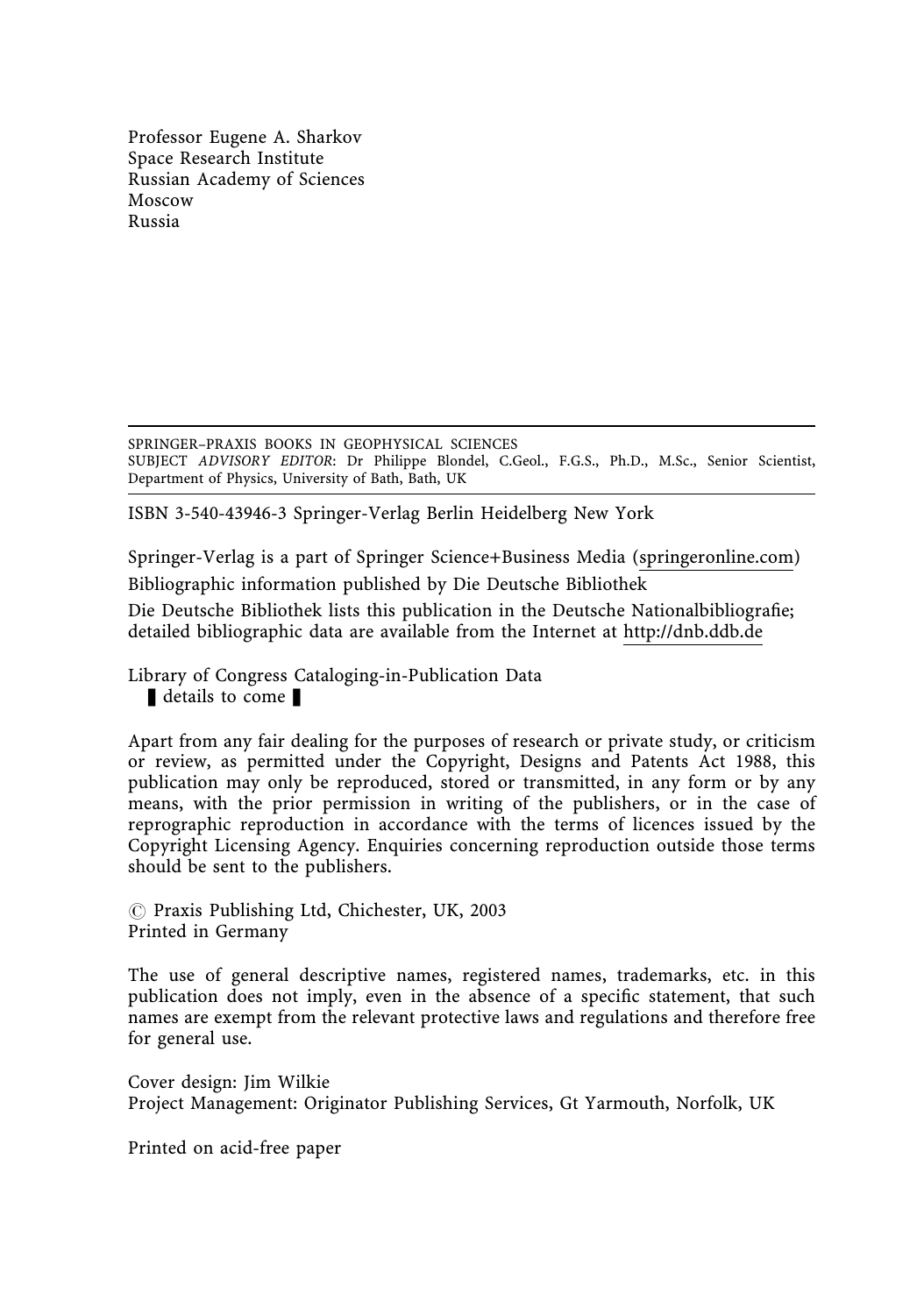Professor Eugene A. Sharkov Space Research Institute Russian Academy of Sciences Moscow Russia

SPRINGER-PRAXIS BOOKS IN GEOPHYSICAL SCIENCES SUBJECT ADVISORY EDITOR: Dr Philippe Blondel, C.Geol., F.G.S., Ph.D., M.Sc., Senior Scientist, Department of Physics, University of Bath, Bath, UK

ISBN 3-540-43946-3 Springer-Verlag Berlin Heidelberg New York

Springer-Verlag is a part of Springer Science+Business Media (springeronline.com) Bibliographic information published by Die Deutsche Bibliothek

Die Deutsche Bibliothek lists this publication in the Deutsche National bibliografie; detailed bibliographic data are available from the Internet at http://dnb.ddb.de

Library of Congress Cataloging-in-Publication Data details to come

Apart from any fair dealing for the purposes of research or private study, or criticism or review, as permitted under the Copyright, Designs and Patents Act 1988, this publication may only be reproduced, stored or transmitted, in any form or by any means, with the prior permission in writing of the publishers, or in the case of reprographic reproduction in accordance with the terms of licences issued by the Copyright Licensing Agency. Enquiries concerning reproduction outside those terms should be sent to the publishers.

© Praxis Publishing Ltd, Chichester, UK, 2003 Printed in Germany

The use of general descriptive names, registered names, trademarks, etc. in this publication does not imply, even in the absence of a specific statement, that such names are exempt from the relevant protective laws and regulations and therefore free for general use.

Cover design: Jim Wilkie Project Management: Originator Publishing Services, Gt Yarmouth, Norfolk, UK

Printed on acid-free paper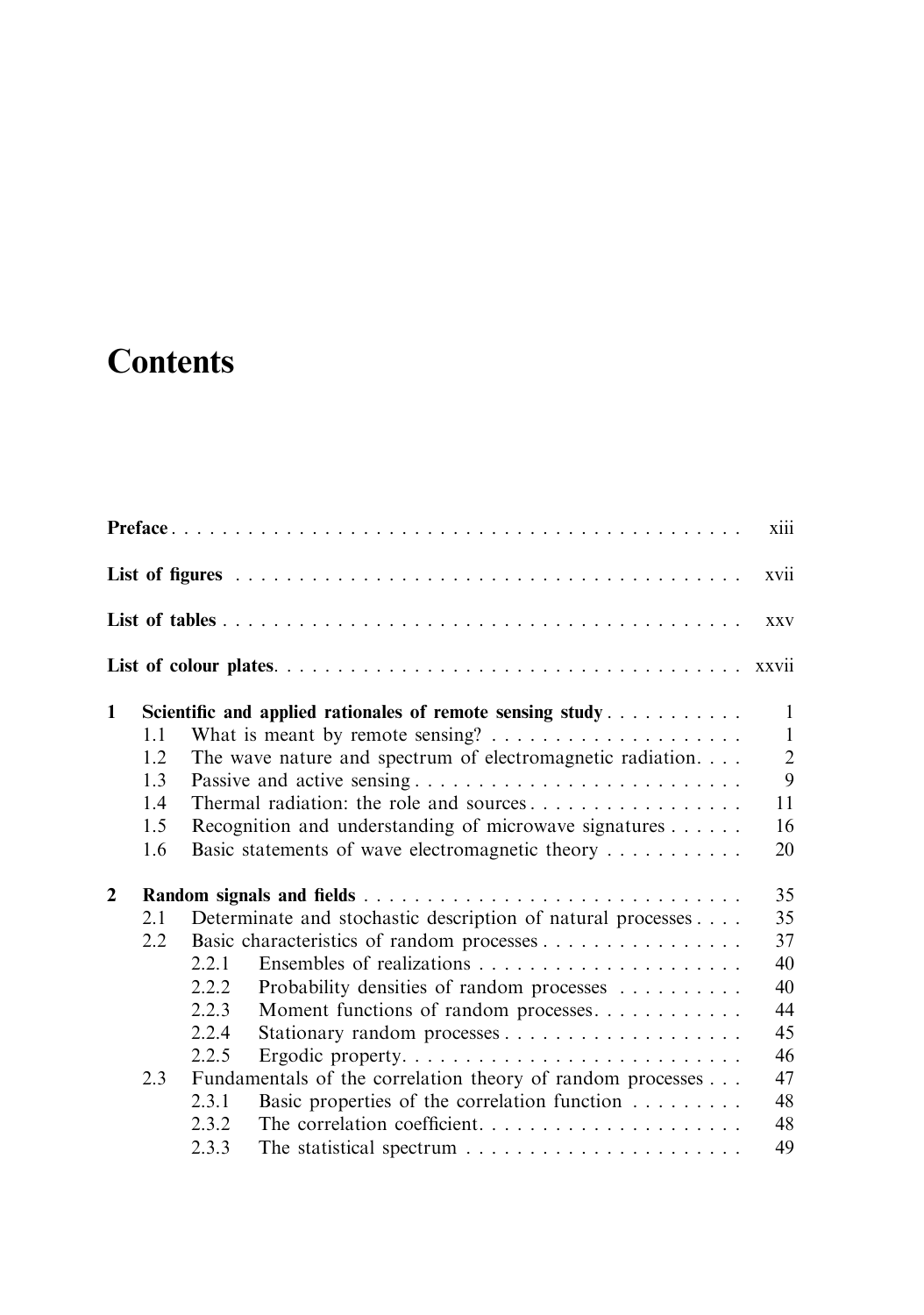### **Contents**

|              |     |                                                                                     | <b>X111</b>    |
|--------------|-----|-------------------------------------------------------------------------------------|----------------|
|              |     |                                                                                     | xvii           |
|              |     |                                                                                     | <b>XXV</b>     |
|              |     |                                                                                     |                |
| 1            |     | Scientific and applied rationales of remote sensing study                           | $\mathbf{1}$   |
|              | 1.1 | What is meant by remote sensing? $\dots \dots \dots \dots \dots \dots \dots$        | $\mathbf{1}$   |
|              | 1.2 | The wave nature and spectrum of electromagnetic radiation                           | $\overline{2}$ |
|              | 1.3 |                                                                                     | 9              |
|              | 1.4 | Thermal radiation: the role and sources                                             | 11             |
|              | 1.5 | Recognition and understanding of microwave signatures                               | 16             |
|              | 1.6 | Basic statements of wave electromagnetic theory                                     | 20             |
| $\mathbf{2}$ |     |                                                                                     | 35             |
|              | 2.1 | Determinate and stochastic description of natural processes                         | 35             |
|              | 2.2 |                                                                                     | 37             |
|              |     | 2.2.1                                                                               | 40             |
|              |     | Probability densities of random processes<br>2.2.2.                                 | 40             |
|              |     | Moment functions of random processes<br>2.2.3                                       | 44             |
|              |     | 2.2.4                                                                               | 45             |
|              |     | 2.2.5                                                                               | 46             |
|              | 2.3 | Fundamentals of the correlation theory of random processes                          | 47             |
|              |     | Basic properties of the correlation function<br>2.3.1                               | 48             |
|              |     | 2.3.2                                                                               | 48             |
|              |     | 2.3.3<br>The statistical spectrum $\dots \dots \dots \dots \dots \dots \dots \dots$ | 49             |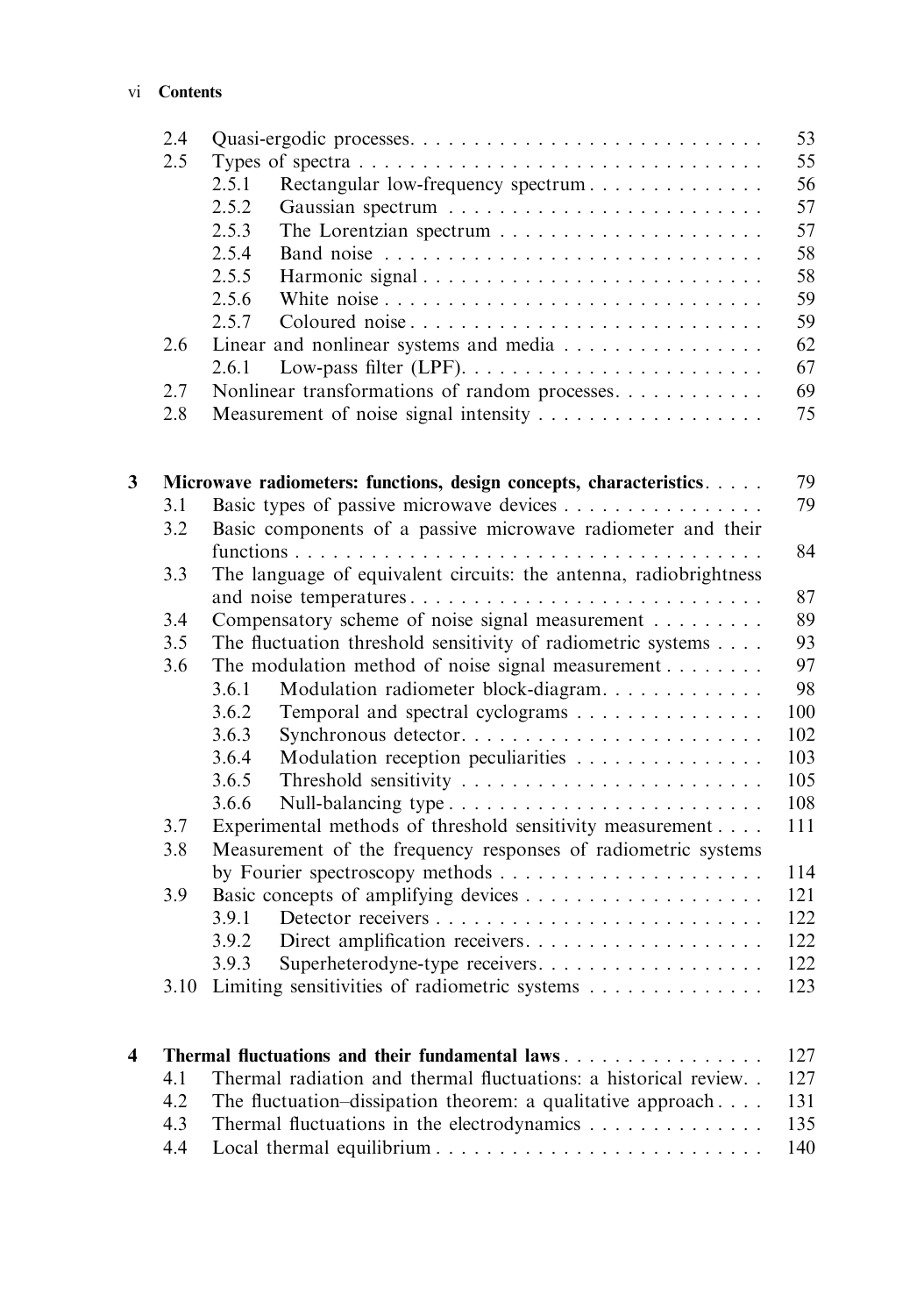|   | 2.4  | Quasi-ergodic processes                                            | 53  |
|---|------|--------------------------------------------------------------------|-----|
|   | 2.5  |                                                                    | 55  |
|   |      | 2.5.1<br>Rectangular low-frequency spectrum                        | 56  |
|   |      | 2.5.2                                                              | 57  |
|   |      | 2.5.3                                                              | 57  |
|   |      | 2.5.4                                                              | 58  |
|   |      | 2.5.5                                                              | 58  |
|   |      | 2.5.6                                                              | 59  |
|   |      | 2.5.7<br>Coloured noise                                            | 59  |
|   | 2.6  | Linear and nonlinear systems and media                             | 62  |
|   |      | 2.6.1                                                              | 67  |
|   | 2.7  | Nonlinear transformations of random processes                      | 69  |
|   | 2.8  |                                                                    | 75  |
|   |      |                                                                    |     |
| 3 |      | Microwave radiometers: functions, design concepts, characteristics | 79  |
|   | 3.1  | Basic types of passive microwave devices                           | 79  |
|   | 3.2  | Basic components of a passive microwave radiometer and their       |     |
|   |      |                                                                    | 84  |
|   | 3.3  | The language of equivalent circuits: the antenna, radiobrightness  |     |
|   |      | and noise temperatures                                             | 87  |
|   | 3.4  | Compensatory scheme of noise signal measurement                    | 89  |
|   | 3.5  | The fluctuation threshold sensitivity of radiometric systems       | 93  |
|   | 3.6  | The modulation method of noise signal measurement                  | 97  |
|   |      | 3.6.1<br>Modulation radiometer block-diagram.                      | 98  |
|   |      | 3.6.2<br>Temporal and spectral cyclograms                          | 100 |
|   |      | 3.6.3<br>Synchronous detector                                      | 102 |
|   |      | 3.6.4<br>Modulation reception peculiarities                        | 103 |
|   |      | 3.6.5                                                              | 105 |
|   |      | 3.6.6                                                              | 108 |
|   | 3.7  | Experimental methods of threshold sensitivity measurement          | 111 |
|   | 3.8  | Measurement of the frequency responses of radiometric systems      |     |
|   |      |                                                                    | 114 |
|   | 3.9  |                                                                    | 121 |
|   |      | 3.9.1                                                              | 122 |
|   |      | 3.9.2                                                              | 122 |
|   |      | Superheterodyne-type receivers<br>3.9.3                            | 122 |
|   | 3.10 | Limiting sensitivities of radiometric systems                      | 123 |
|   |      |                                                                    |     |
| 4 |      | Thermal fluctuations and their fundamental laws                    | 127 |
|   | 4.1  | Thermal radiation and thermal fluctuations: a historical review. . | 127 |
|   | 4.2  | The fluctuation-dissipation theorem: a qualitative approach        | 131 |
|   | 4.3  | Thermal fluctuations in the electrodynamics                        | 135 |
|   | 4.4  |                                                                    | 140 |
|   |      |                                                                    |     |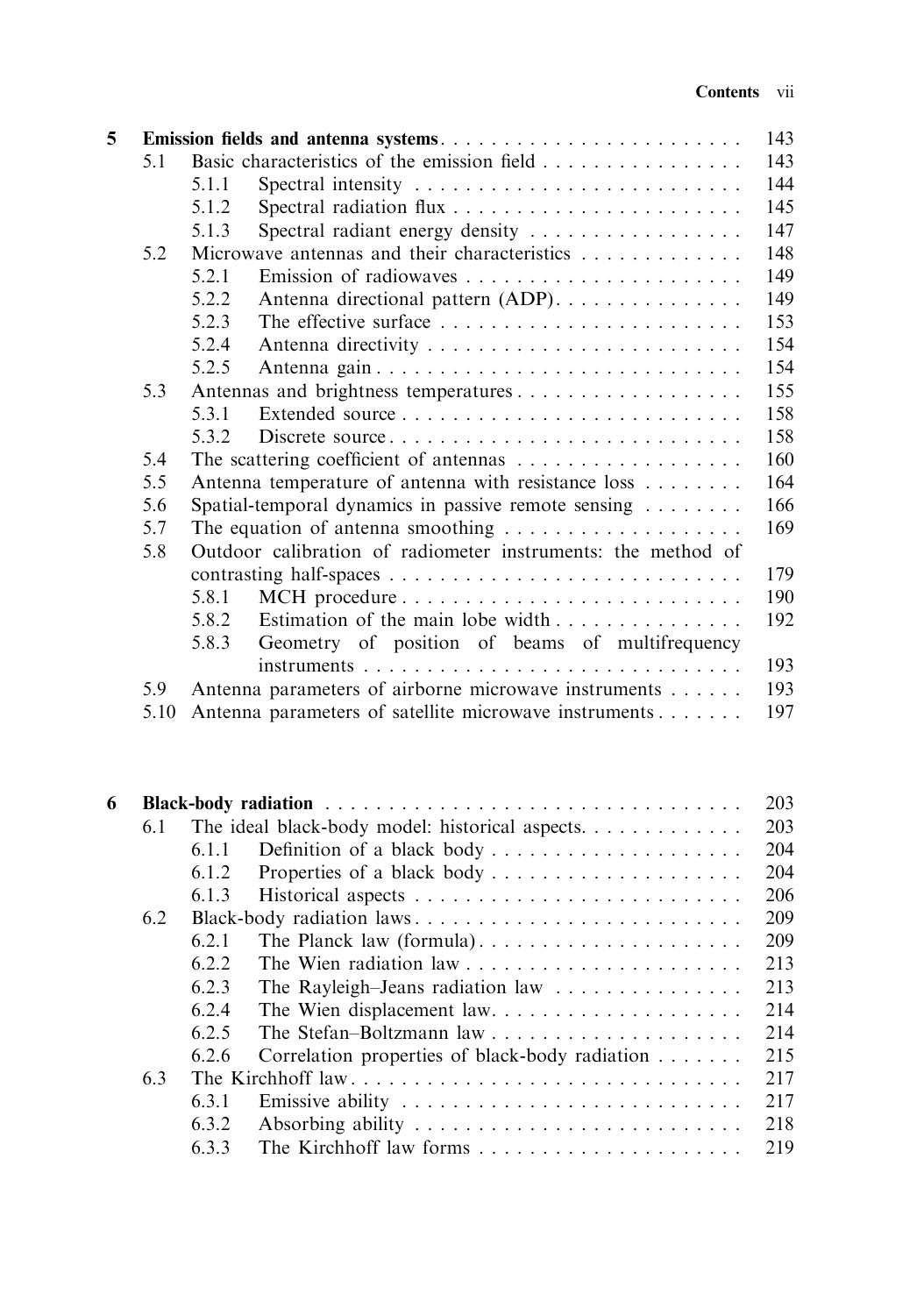| 5 |      | Emission fields and antenna systems                                  | 143 |
|---|------|----------------------------------------------------------------------|-----|
|   | 5.1  |                                                                      | 143 |
|   |      | 5.1.1                                                                | 144 |
|   |      | 5.1.2                                                                | 145 |
|   |      | Spectral radiant energy density<br>5.1.3                             | 147 |
|   | 5.2  | Microwave antennas and their characteristics                         | 148 |
|   |      | 5.2.1                                                                | 149 |
|   |      | 5.2.2<br>Antenna directional pattern (ADP).                          | 149 |
|   |      | 5.2.3                                                                | 153 |
|   |      | 5.2.4                                                                | 154 |
|   |      | 5.2.5<br>Antenna gain                                                | 154 |
|   | 5.3  | Antennas and brightness temperatures                                 | 155 |
|   |      | 5.3.1                                                                | 158 |
|   |      | 5.3.2<br>Discrete source                                             | 158 |
|   | 5.4  |                                                                      | 160 |
|   | 5.5  | Antenna temperature of antenna with resistance loss                  | 164 |
|   | 5.6  | Spatial-temporal dynamics in passive remote sensing                  | 166 |
|   | 5.7  | The equation of antenna smoothing                                    | 169 |
|   | 5.8  | Outdoor calibration of radiometer instruments: the method of         |     |
|   |      |                                                                      | 179 |
|   |      | 5.8.1                                                                | 190 |
|   |      | Estimation of the main lobe width $\dots \dots \dots \dots$<br>5.8.2 | 192 |
|   |      | Geometry of position of beams of multifrequency<br>5.8.3             |     |
|   |      |                                                                      | 193 |
|   | 5.9  | Antenna parameters of airborne microwave instruments                 | 193 |
|   | 5.10 | Antenna parameters of satellite microwave instruments                | 197 |
|   |      |                                                                      |     |

| 6 |     |       |                                                 | 203 |
|---|-----|-------|-------------------------------------------------|-----|
|   | 6.1 |       | The ideal black-body model: historical aspects. | 203 |
|   |     | 6.1.1 | Definition of a black body                      | 204 |
|   |     | 6.1.2 |                                                 | 204 |
|   |     | 6.1.3 |                                                 | 206 |
|   | 6.2 |       | Black-body radiation laws                       | 209 |
|   |     | 6.2.1 | The Planck law (formula)                        | 209 |
|   |     | 6.2.2 |                                                 | 213 |
|   |     | 6.2.3 | The Rayleigh-Jeans radiation law                | 213 |
|   |     | 6.2.4 | The Wien displacement law                       | 214 |
|   |     | 6.2.5 |                                                 | 214 |
|   |     | 6.2.6 | Correlation properties of black-body radiation  | 215 |
|   | 6.3 |       |                                                 | 217 |
|   |     | 6.3.1 | Emissive ability                                | 217 |
|   |     | 6.3.2 |                                                 | 218 |
|   |     | 6.3.3 |                                                 | 219 |
|   |     |       |                                                 |     |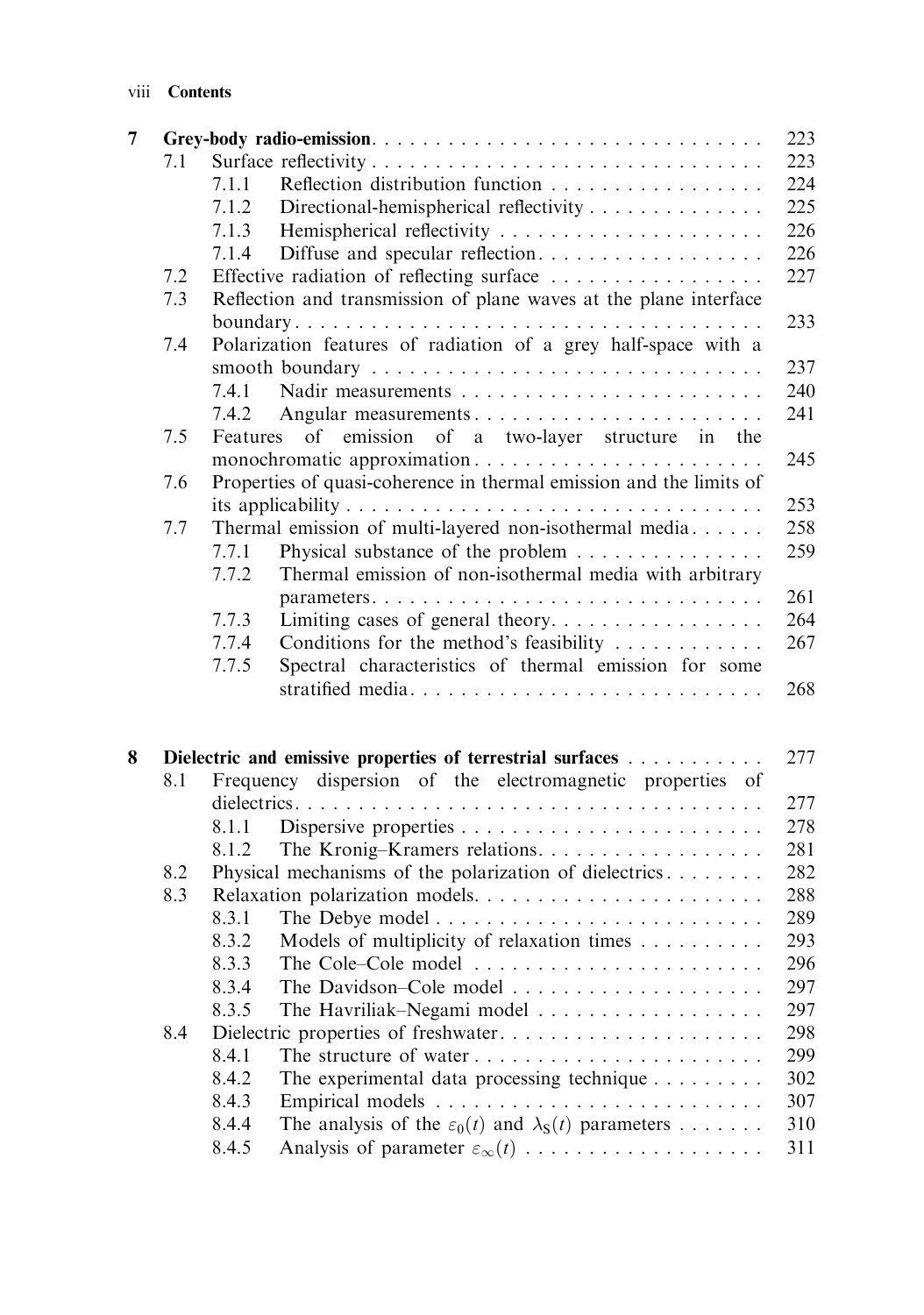| 7 |     |          |                                                                      | 223 |
|---|-----|----------|----------------------------------------------------------------------|-----|
|   | 7.1 |          |                                                                      | 223 |
|   |     | 7.1.1    | Reflection distribution function                                     | 224 |
|   |     | 7.1.2    | Directional-hemispherical reflectivity                               | 225 |
|   |     | 7.1.3    |                                                                      | 226 |
|   |     | 7.1.4    | Diffuse and specular reflection                                      | 226 |
|   | 7.2 |          | Effective radiation of reflecting surface                            | 227 |
|   | 7.3 |          | Reflection and transmission of plane waves at the plane interface    |     |
|   |     |          |                                                                      | 233 |
|   | 7.4 |          | Polarization features of radiation of a grey half-space with a       |     |
|   |     |          |                                                                      | 237 |
|   |     | 7.4.1    |                                                                      | 240 |
|   |     | 7.4.2    | Angular measurements                                                 | 241 |
|   | 7.5 | Features | of emission of a two-layer structure in the                          |     |
|   |     |          | monochromatic approximation                                          | 245 |
|   | 7.6 |          | Properties of quasi-coherence in thermal emission and the limits of  |     |
|   |     |          |                                                                      | 253 |
|   | 7.7 |          | Thermal emission of multi-layered non-isothermal media               | 258 |
|   |     | 7.7.1    | Physical substance of the problem                                    | 259 |
|   |     | 7.7.2    | Thermal emission of non-isothermal media with arbitrary              |     |
|   |     |          |                                                                      | 261 |
|   |     | 7.7.3    |                                                                      | 264 |
|   |     | 7.7.4    | Conditions for the method's feasibility                              | 267 |
|   |     | 7.7.5    | Spectral characteristics of thermal emission for some                |     |
|   |     |          | stratified media                                                     | 268 |
|   |     |          |                                                                      |     |
|   |     |          |                                                                      |     |
| 8 |     |          | Dielectric and emissive properties of terrestrial surfaces           | 277 |
|   | 8.1 |          | Frequency dispersion of the electromagnetic properties of            |     |
|   |     |          |                                                                      | 277 |
|   |     | 8.1.1    |                                                                      | 278 |
|   |     | 8.1.2    | The Kronig-Kramers relations.                                        | 281 |
|   | 8.2 |          | Physical mechanisms of the polarization of dielectrics               | 282 |
|   | 8.3 |          |                                                                      | 288 |
|   |     | 8.3.1    |                                                                      | 289 |
|   |     | 8.3.2    | Models of multiplicity of relaxation times                           | 293 |
|   |     | 8.3.3    |                                                                      | 296 |
|   |     | 8.3.4    |                                                                      | 297 |
|   |     | 8.3.5    | The Havriliak–Negami model                                           | 297 |
|   | 8.4 |          | Dielectric properties of freshwater                                  | 298 |
|   |     | 8.4.1    | The structure of water                                               | 299 |
|   |     | 8.4.2    | The experimental data processing technique                           | 302 |
|   |     | 8.4.3    |                                                                      | 307 |
|   |     | 8.4.4    | The analysis of the $\varepsilon_0(t)$ and $\lambda_S(t)$ parameters | 310 |
|   |     | 8.4.5    | Analysis of parameter $\varepsilon_{\infty}(t)$                      | 311 |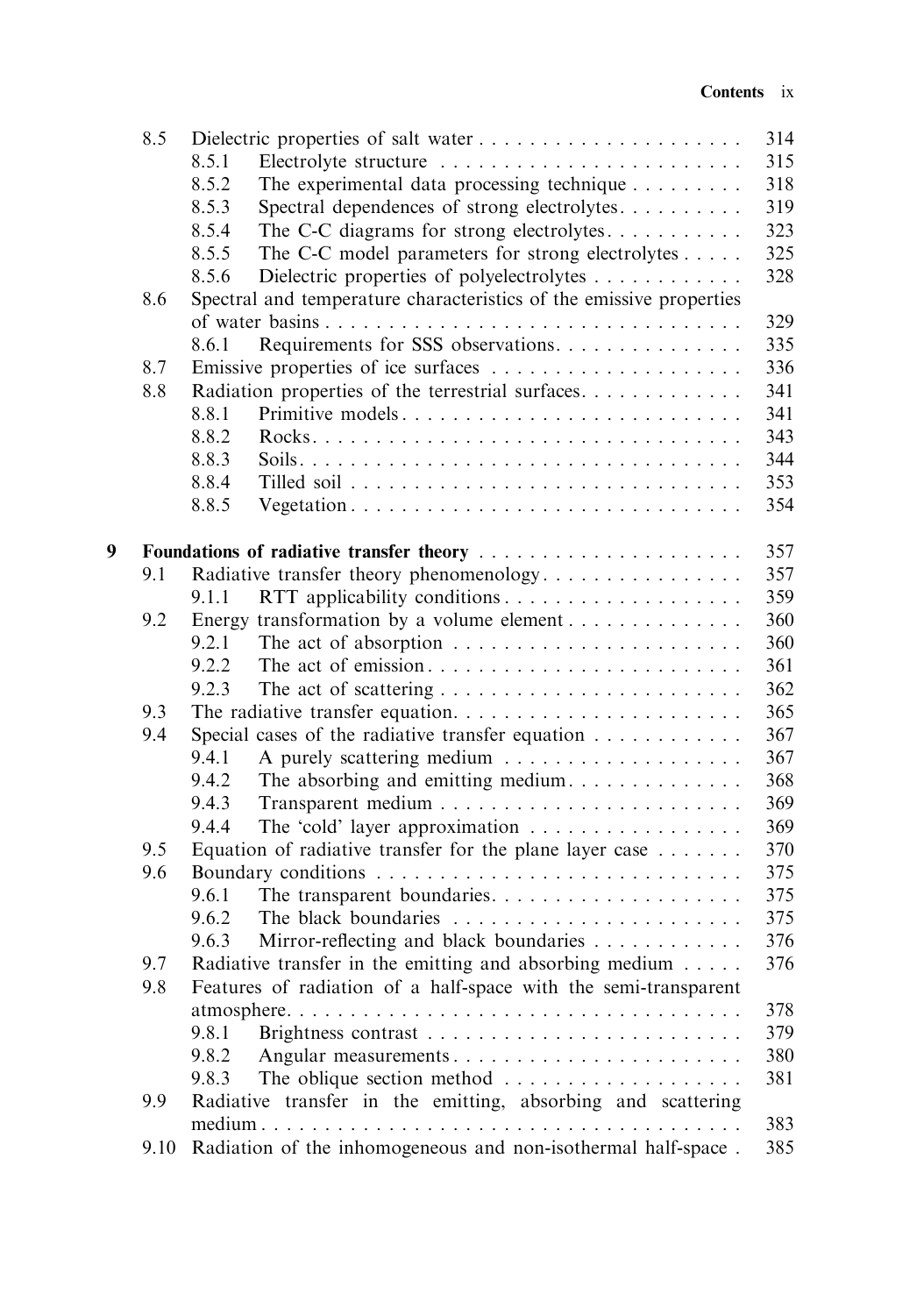|   | 8.5  |       |                                                                       | 314 |
|---|------|-------|-----------------------------------------------------------------------|-----|
|   |      | 8.5.1 | Electrolyte structure                                                 | 315 |
|   |      | 8.5.2 | The experimental data processing technique                            | 318 |
|   |      | 8.5.3 | Spectral dependences of strong electrolytes                           | 319 |
|   |      | 8.5.4 | The C-C diagrams for strong electrolytes                              | 323 |
|   |      | 8.5.5 | The C-C model parameters for strong electrolytes                      | 325 |
|   |      | 8.5.6 | Dielectric properties of polyelectrolytes                             | 328 |
|   | 8.6  |       | Spectral and temperature characteristics of the emissive properties   |     |
|   |      |       |                                                                       | 329 |
|   |      | 8.6.1 | Requirements for SSS observations.                                    | 335 |
|   | 8.7  |       |                                                                       | 336 |
|   | 8.8  |       | Radiation properties of the terrestrial surfaces                      | 341 |
|   |      | 8.8.1 | Primitive models                                                      | 341 |
|   |      | 8.8.2 |                                                                       | 343 |
|   |      | 8.8.3 |                                                                       | 344 |
|   |      | 8.8.4 |                                                                       | 353 |
|   |      | 8.8.5 |                                                                       | 354 |
|   |      |       |                                                                       |     |
| 9 |      |       | Foundations of radiative transfer theory                              | 357 |
|   | 9.1  |       | Radiative transfer theory phenomenology                               | 357 |
|   |      | 9.1.1 | RTT applicability conditions                                          | 359 |
|   | 9.2  |       | Energy transformation by a volume element                             | 360 |
|   |      | 9.2.1 |                                                                       | 360 |
|   |      | 9.2.2 | The act of emission                                                   | 361 |
|   |      | 9.2.3 |                                                                       | 362 |
|   | 9.3  |       |                                                                       | 365 |
|   | 9.4  |       | Special cases of the radiative transfer equation                      | 367 |
|   |      | 9.4.1 |                                                                       | 367 |
|   |      | 9.4.2 | The absorbing and emitting medium                                     | 368 |
|   |      | 9.4.3 |                                                                       | 369 |
|   |      | 9.4.4 | The 'cold' layer approximation $\dots \dots \dots \dots \dots$        | 369 |
|   | 9.5  |       | Equation of radiative transfer for the plane layer case $\dots \dots$ | 370 |
|   | 9.6  |       |                                                                       | 375 |
|   |      | 9.6.1 |                                                                       | 375 |
|   |      | 9.6.2 |                                                                       | 375 |
|   |      | 9.6.3 | Mirror-reflecting and black boundaries                                | 376 |
|   | 9.7  |       | Radiative transfer in the emitting and absorbing medium               | 376 |
|   | 9.8  |       | Features of radiation of a half-space with the semi-transparent       |     |
|   |      |       |                                                                       | 378 |
|   |      | 9.8.1 |                                                                       | 379 |
|   |      | 9.8.2 | Angular measurements                                                  | 380 |
|   |      | 9.8.3 |                                                                       | 381 |
|   | 9.9  |       | Radiative transfer in the emitting, absorbing and scattering          |     |
|   |      |       |                                                                       | 383 |
|   | 9.10 |       | Radiation of the inhomogeneous and non-isothermal half-space.         | 385 |
|   |      |       |                                                                       |     |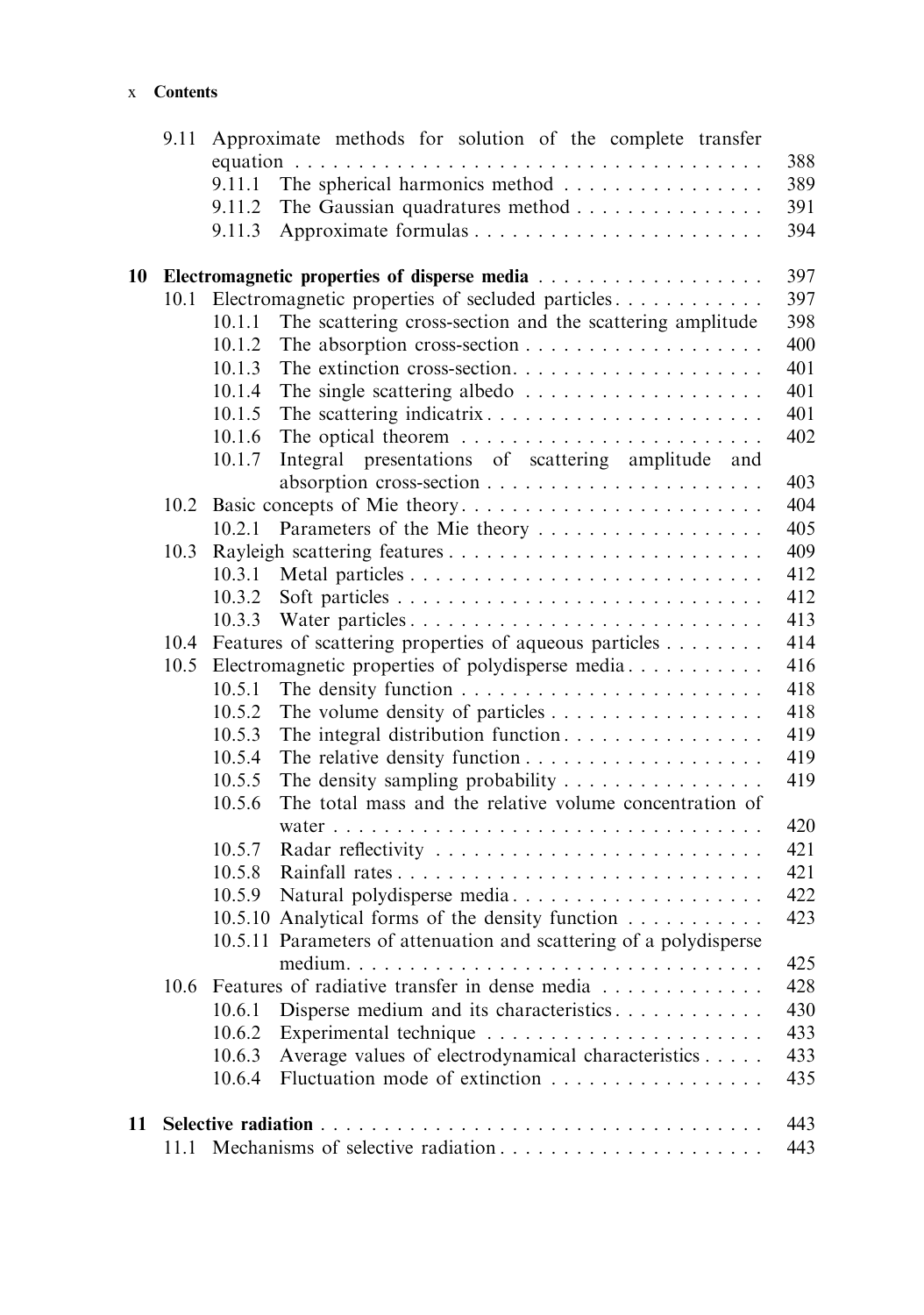#### x Contents

|    | 9.11 |        | Approximate methods for solution of the complete transfer          | 388 |
|----|------|--------|--------------------------------------------------------------------|-----|
|    |      | 9.11.1 | The spherical harmonics method                                     | 389 |
|    |      | 9.11.2 | The Gaussian quadratures method                                    | 391 |
|    |      | 9.11.3 |                                                                    | 394 |
|    |      |        |                                                                    |     |
| 10 |      |        |                                                                    | 397 |
|    | 10.1 |        | Electromagnetic properties of secluded particles                   | 397 |
|    |      | 10.1.1 | The scattering cross-section and the scattering amplitude          | 398 |
|    |      | 10.1.2 |                                                                    | 400 |
|    |      | 10.1.3 | The extinction cross-section                                       | 401 |
|    |      | 10.1.4 |                                                                    | 401 |
|    |      | 10.1.5 | The scattering indicatrix                                          | 401 |
|    |      | 10.1.6 |                                                                    | 402 |
|    |      | 10.1.7 | Integral presentations of scattering amplitude and                 |     |
|    |      |        |                                                                    | 403 |
|    | 10.2 |        | Basic concepts of Mie theory                                       | 404 |
|    |      | 10.2.1 | Parameters of the Mie theory                                       | 405 |
|    | 10.3 |        |                                                                    | 409 |
|    |      | 10.3.1 |                                                                    | 412 |
|    |      | 10.3.2 |                                                                    | 412 |
|    |      | 10.3.3 |                                                                    | 413 |
|    | 10.4 |        | Features of scattering properties of aqueous particles             | 414 |
|    | 10.5 |        | Electromagnetic properties of polydisperse media                   | 416 |
|    |      | 10.5.1 |                                                                    | 418 |
|    |      | 10.5.2 | The volume density of particles                                    | 418 |
|    |      | 10.5.3 | The integral distribution function                                 | 419 |
|    |      | 10.5.4 |                                                                    | 419 |
|    |      | 10.5.5 | The density sampling probability                                   | 419 |
|    |      | 10.5.6 | The total mass and the relative volume concentration of            |     |
|    |      |        |                                                                    | 420 |
|    |      | 10.5.7 |                                                                    | 421 |
|    |      | 10.5.8 |                                                                    | 421 |
|    |      | 10.5.9 | Natural polydisperse media                                         | 422 |
|    |      |        | 10.5.10 Analytical forms of the density function                   | 423 |
|    |      |        | 10.5.11 Parameters of attenuation and scattering of a polydisperse |     |
|    |      |        |                                                                    | 425 |
|    | 10.6 |        | Features of radiative transfer in dense media                      | 428 |
|    |      | 10.6.1 | Disperse medium and its characteristics                            | 430 |
|    |      | 10.6.2 |                                                                    | 433 |
|    |      | 10.6.3 | Average values of electrodynamical characteristics                 | 433 |
|    |      | 10.6.4 | Fluctuation mode of extinction                                     | 435 |
| 11 |      |        |                                                                    | 443 |
|    | 11.1 |        | Mechanisms of selective radiation                                  | 443 |
|    |      |        |                                                                    |     |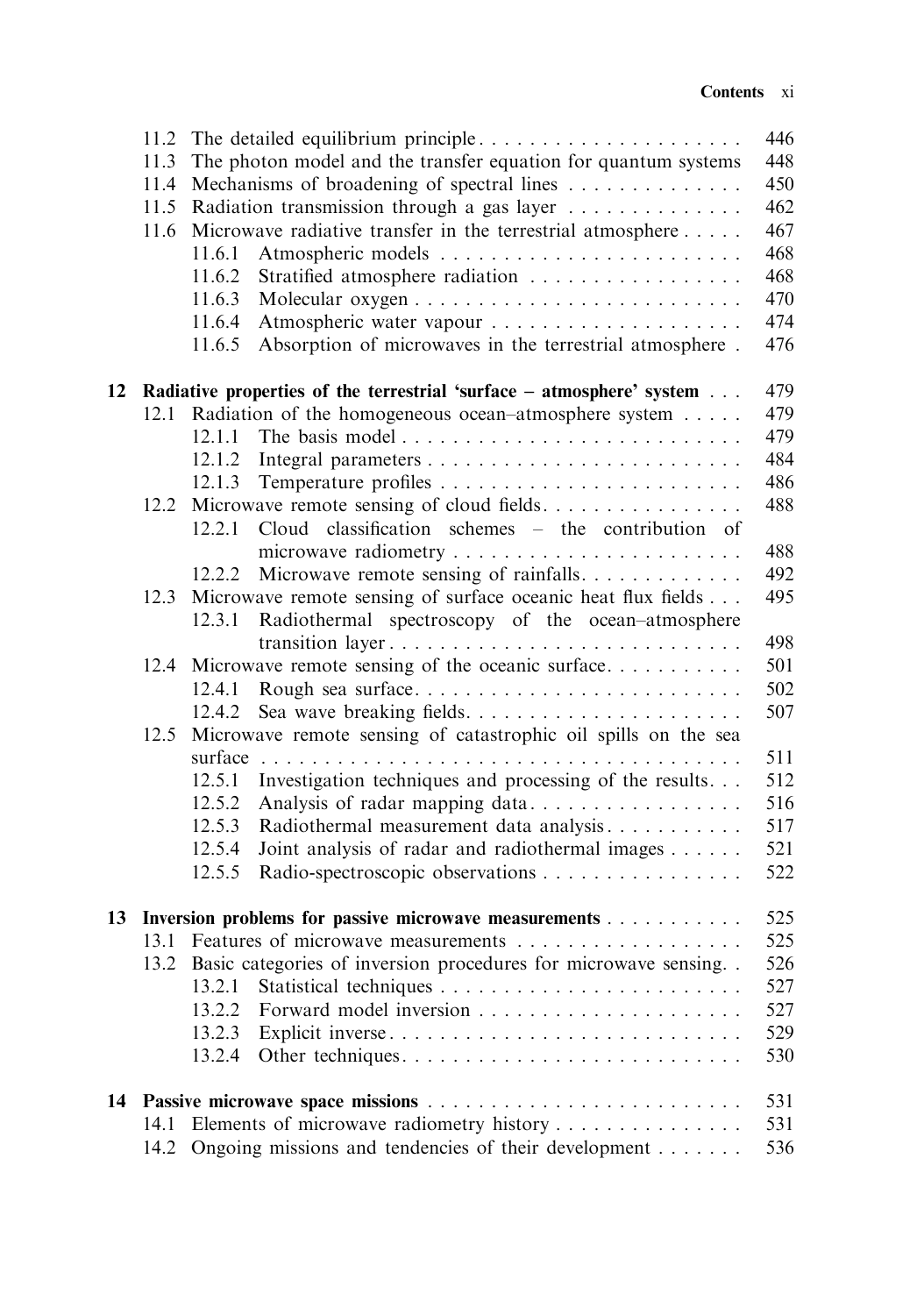|      | 11.2 The detailed equilibrium principle                                                       | 446 |
|------|-----------------------------------------------------------------------------------------------|-----|
| 11.3 | The photon model and the transfer equation for quantum systems                                | 448 |
| 11.4 | Mechanisms of broadening of spectral lines                                                    | 450 |
| 11.5 | Radiation transmission through a gas layer                                                    | 462 |
| 11.6 | Microwave radiative transfer in the terrestrial atmosphere                                    | 467 |
|      | 11.6.1                                                                                        | 468 |
|      | 11.6.2<br>Stratified atmosphere radiation                                                     | 468 |
|      | 11.6.3                                                                                        | 470 |
|      | 11.6.4                                                                                        | 474 |
|      | 11.6.5<br>Absorption of microwaves in the terrestrial atmosphere.                             | 476 |
|      | 12 Radiative properties of the terrestrial 'surface – atmosphere' system                      | 479 |
|      | 12.1 Radiation of the homogeneous ocean-atmosphere system                                     | 479 |
|      | 12.1.1                                                                                        | 479 |
|      | 12.1.2                                                                                        | 484 |
|      | 12.1.3                                                                                        | 486 |
|      | 12.2 Microwave remote sensing of cloud fields                                                 | 488 |
|      | 12.2.1<br>Cloud classification schemes - the contribution of                                  |     |
|      |                                                                                               | 488 |
|      | 12.2.2<br>Microwave remote sensing of rainfalls.                                              | 492 |
| 12.3 | Microwave remote sensing of surface oceanic heat flux fields                                  | 495 |
|      | 12.3.1<br>Radiothermal spectroscopy of the ocean-atmosphere                                   |     |
|      | transition layer                                                                              | 498 |
| 12.4 | Microwave remote sensing of the oceanic surface                                               | 501 |
|      | Rough sea surface<br>12.4.1                                                                   | 502 |
|      | 12.4.2<br>Sea wave breaking fields                                                            | 507 |
| 12.5 | Microwave remote sensing of catastrophic oil spills on the sea                                |     |
|      | surface $\ldots \ldots \ldots \ldots \ldots \ldots \ldots \ldots \ldots \ldots \ldots \ldots$ | 511 |
|      | 12.5.1<br>Investigation techniques and processing of the results                              | 512 |
|      | Analysis of radar mapping data<br>12.5.2                                                      | 516 |
|      | Radiothermal measurement data analysis<br>12.5.3                                              | 517 |
|      | Joint analysis of radar and radiothermal images<br>12.5.4                                     | 521 |
|      | 12.5.5<br>Radio-spectroscopic observations                                                    | 522 |
|      | 13 Inversion problems for passive microwave measurements                                      | 525 |
|      |                                                                                               | 525 |
|      | 13.2 Basic categories of inversion procedures for microwave sensing                           | 526 |
|      |                                                                                               | 527 |
|      | 13.2.2                                                                                        | 527 |
|      | 13.2.3<br>Explicit inverse                                                                    | 529 |
|      | 13.2.4                                                                                        | 530 |
|      |                                                                                               | 531 |
| 14.1 | Elements of microwave radiometry history                                                      | 531 |
|      | 14.2 Ongoing missions and tendencies of their development                                     | 536 |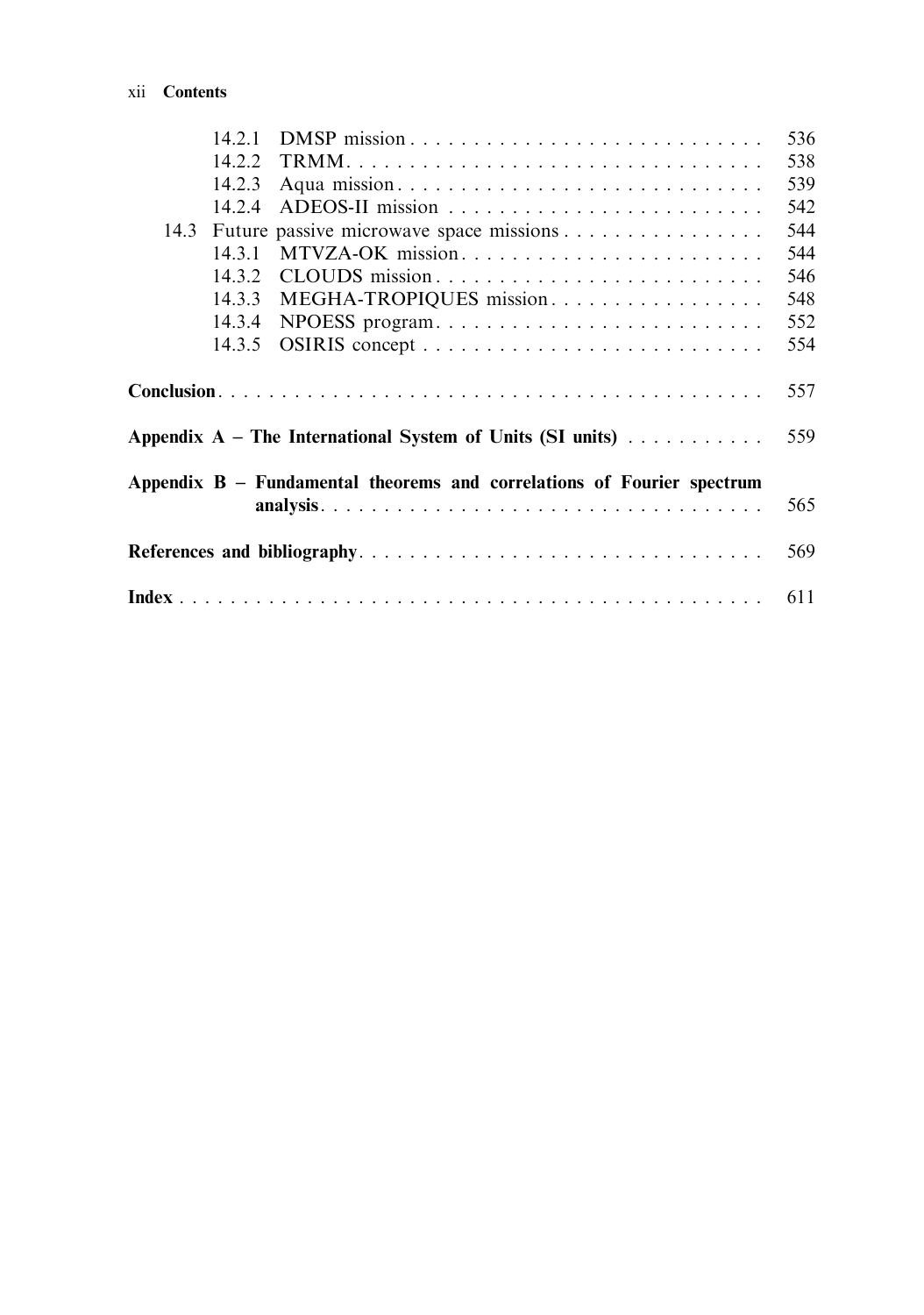|      | 14.2.1 |                                                                        | 536 |
|------|--------|------------------------------------------------------------------------|-----|
|      | 14.2.2 |                                                                        | 538 |
|      | 14.2.3 |                                                                        | 539 |
|      | 14.2.4 |                                                                        | 542 |
| 14.3 |        |                                                                        | 544 |
|      | 14.3.1 | MTVZA-OK mission                                                       | 544 |
|      | 14.3.2 | CLOUDS mission                                                         | 546 |
|      | 14.3.3 | MEGHA-TROPIQUES mission.                                               | 548 |
|      | 14.3.4 | NPOESS program                                                         | 552 |
|      | 14.3.5 |                                                                        | 554 |
|      |        |                                                                        | 557 |
|      |        | Appendix $A$ – The International System of Units (SI units) $\ldots$   | 559 |
|      |        | Appendix B – Fundamental theorems and correlations of Fourier spectrum | 565 |
|      |        |                                                                        |     |
|      |        |                                                                        | 569 |
|      |        |                                                                        |     |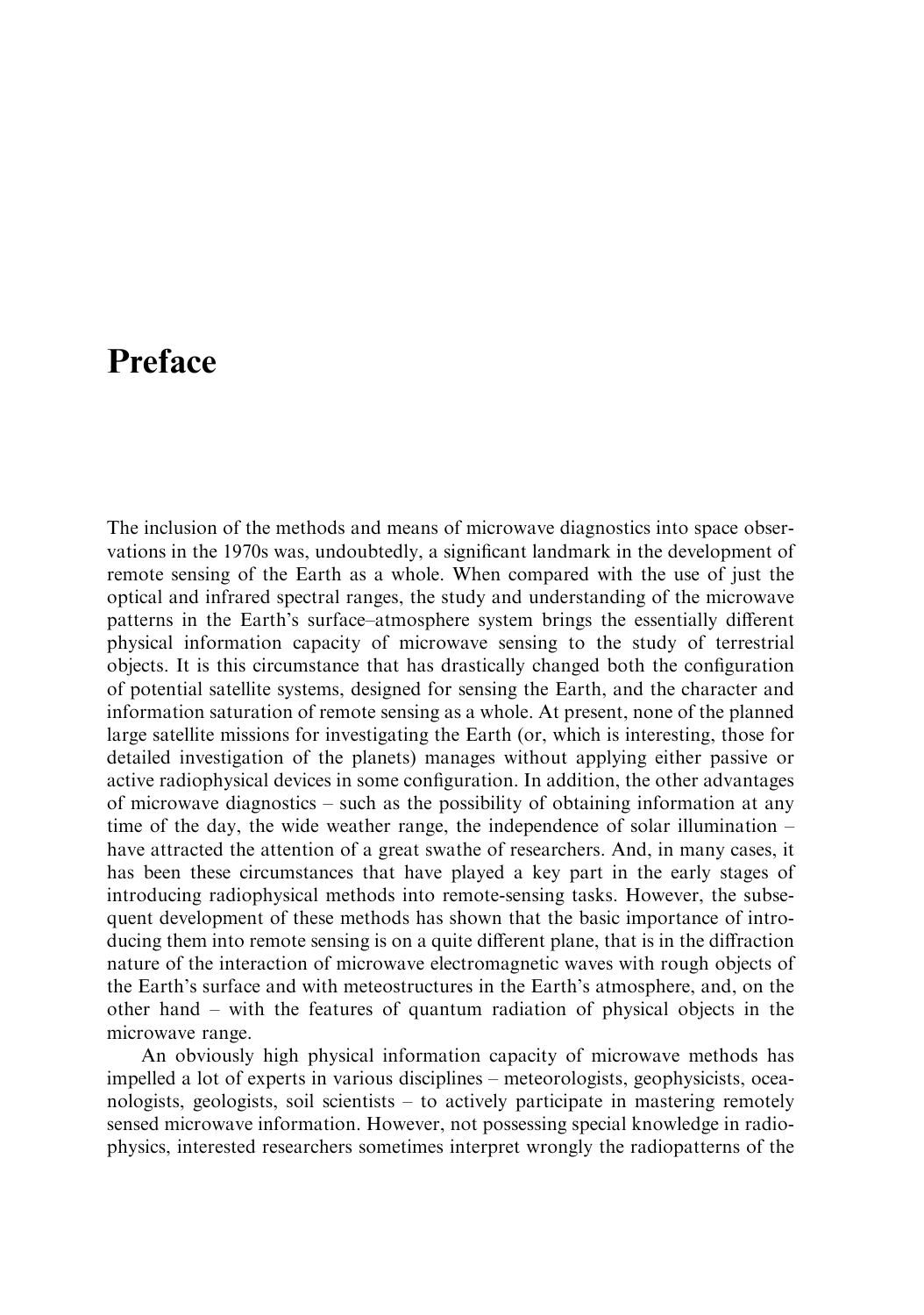#### Preface

The inclusion of the methods and means of microwave diagnostics into space observations in the 1970s was, undoubtedly, a significant landmark in the development of remote sensing of the Earth as a whole. When compared with the use of just the optical and infrared spectral ranges, the study and understanding of the microwave patterns in the Earth's surface–atmosphere system brings the essentially different physical information capacity of microwave sensing to the study of terrestrial objects. It is this circumstance that has drastically changed both the configuration of potential satellite systems, designed for sensing the Earth, and the character and information saturation of remote sensing as a whole. At present, none of the planned large satellite missions for investigating the Earth (or, which is interesting, those for detailed investigation of the planets) manages without applying either passive or active radiophysical devices in some configuration. In addition, the other advantages of microwave diagnostics – such as the possibility of obtaining information at any time of the day, the wide weather range, the independence of solar illumination  $$ have attracted the attention of a great swathe of researchers. And, in many cases, it has been these circumstances that have played a key part in the early stages of introducing radiophysical methods into remote-sensing tasks. However, the subsequent development of these methods has shown that the basic importance of introducing them into remote sensing is on a quite different plane, that is in the diffraction nature of the interaction of microwave electromagnetic waves with rough objects of the Earth's surface and with meteostructures in the Earth's atmosphere, and, on the other hand – with the features of quantum radiation of physical objects in the microwave range.

An obviously high physical information capacity of microwave methods has impelled a lot of experts in various disciplines – meteorologists, geophysicists, oceanologists, geologists, soil scientists - to actively participate in mastering remotely sensed microwave information. However, not possessing special knowledge in radiophysics, interested researchers sometimes interpret wrongly the radiopatterns of the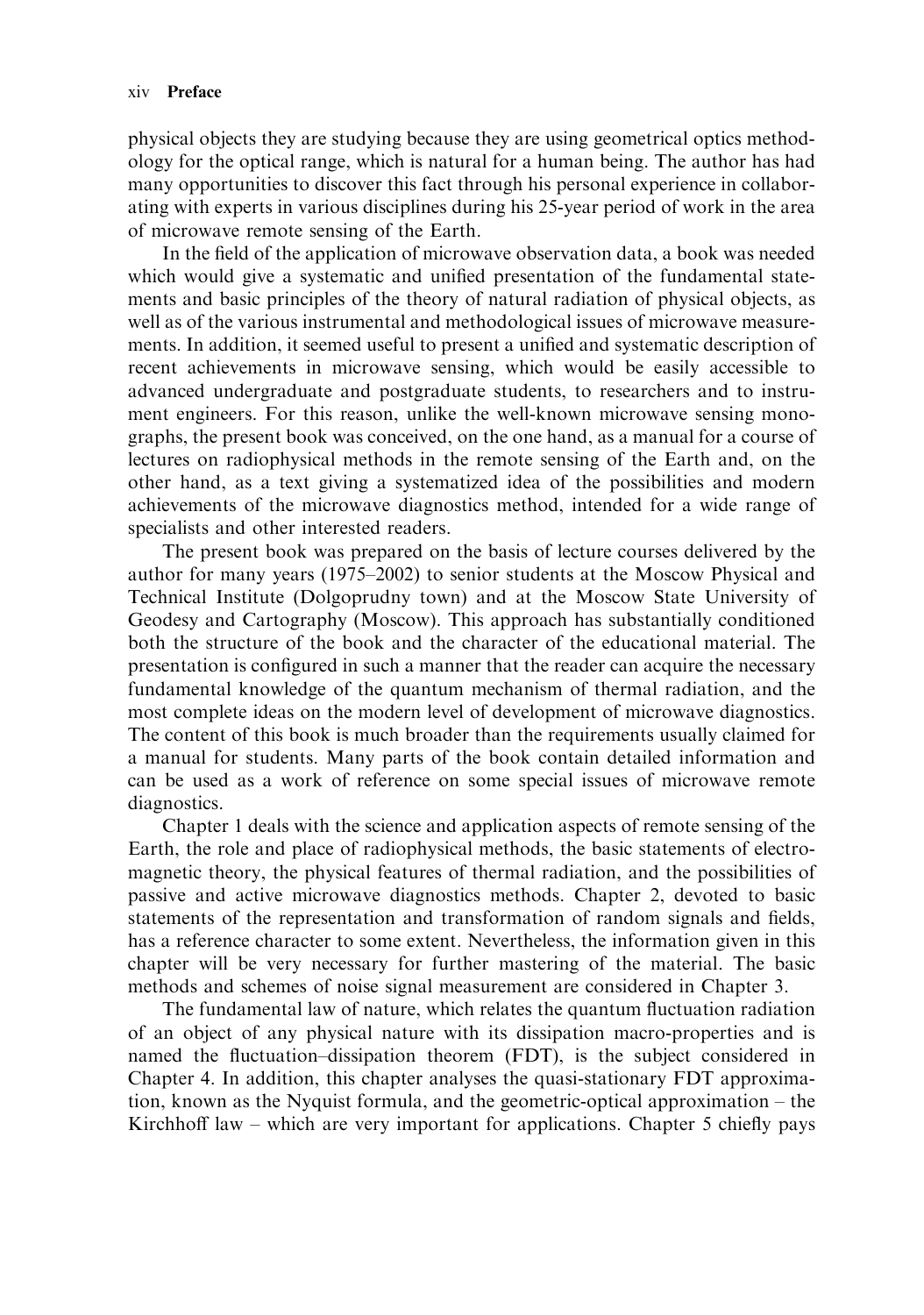physical objects they are studying because they are using geometrical optics methodology for the optical range, which is natural for a human being. The author has had many opportunities to discover this fact through his personal experience in collaborating with experts in various disciplines during his 25-year period of work in the area of microwave remote sensing of the Earth.

In the field of the application of microwave observation data, a book was needed which would give a systematic and unified presentation of the fundamental statements and basic principles of the theory of natural radiation of physical objects, as well as of the various instrumental and methodological issues of microwave measurements. In addition, it seemed useful to present a unified and systematic description of recent achievements in microwave sensing, which would be easily accessible to advanced undergraduate and postgraduate students, to researchers and to instrument engineers. For this reason, unlike the well-known microwave sensing monographs, the present book was conceived, on the one hand, as a manual for a course of lectures on radiophysical methods in the remote sensing of the Earth and, on the other hand, as a text giving a systematized idea of the possibilities and modern achievements of the microwave diagnostics method, intended for a wide range of specialists and other interested readers.

The present book was prepared on the basis of lecture courses delivered by the author for many years (1975–2002) to senior students at the Moscow Physical and Technical Institute (Dolgoprudny town) and at the Moscow State University of Geodesy and Cartography (Moscow). This approach has substantially conditioned both the structure of the book and the character of the educational material. The presentation is configured in such a manner that the reader can acquire the necessary fundamental knowledge of the quantum mechanism of thermal radiation, and the most complete ideas on the modern level of development of microwave diagnostics. The content of this book is much broader than the requirements usually claimed for a manual for students. Many parts of the book contain detailed information and can be used as a work of reference on some special issues of microwave remote diagnostics.

Chapter 1 deals with the science and application aspects of remote sensing of the Earth, the role and place of radiophysical methods, the basic statements of electromagnetic theory, the physical features of thermal radiation, and the possibilities of passive and active microwave diagnostics methods. Chapter 2, devoted to basic statements of the representation and transformation of random signals and fields, has a reference character to some extent. Nevertheless, the information given in this chapter will be very necessary for further mastering of the material. The basic methods and schemes of noise signal measurement are considered in Chapter 3.

The fundamental law of nature, which relates the quantum fluctuation radiation of an object of any physical nature with its dissipation macro-properties and is named the fluctuation-dissipation theorem (FDT), is the subject considered in Chapter 4. In addition, this chapter analyses the quasi-stationary FDT approximation, known as the Nyquist formula, and the geometric-optical approximation – the Kirchhoff law – which are very important for applications. Chapter 5 chiefly pays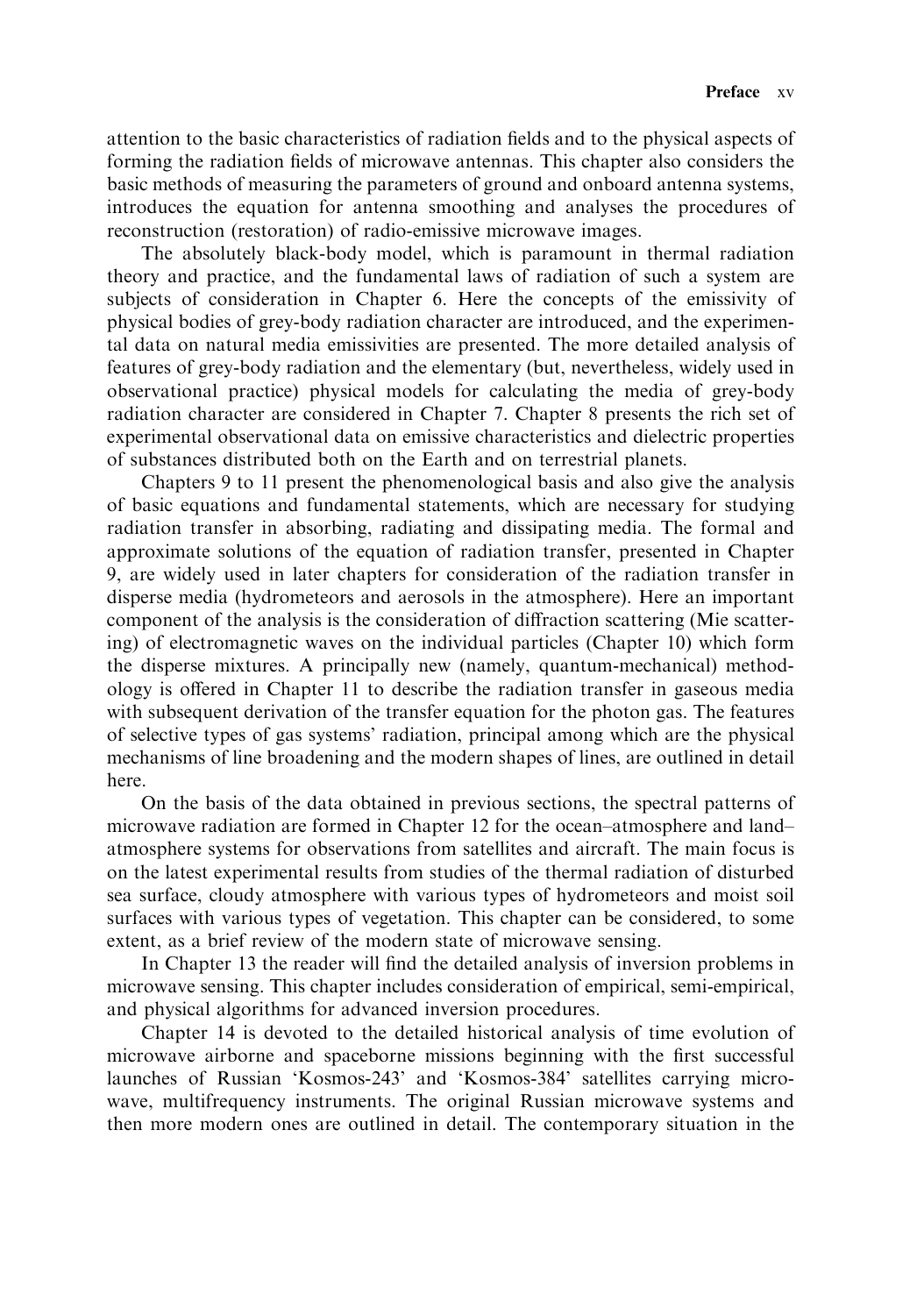attention to the basic characteristics of radiation fields and to the physical aspects of forming the radiation fields of microwave antennas. This chapter also considers the basic methods of measuring the parameters of ground and onboard antenna systems, introduces the equation for antenna smoothing and analyses the procedures of reconstruction (restoration) of radio-emissive microwave images.

The absolutely black-body model, which is paramount in thermal radiation theory and practice, and the fundamental laws of radiation of such a system are subjects of consideration in Chapter 6. Here the concepts of the emissivity of physical bodies of grey-body radiation character are introduced, and the experimental data on natural media emissivities are presented. The more detailed analysis of features of grey-body radiation and the elementary (but, nevertheless, widely used in observational practice) physical models for calculating the media of grey-body radiation character are considered in Chapter 7. Chapter 8 presents the rich set of experimental observational data on emissive characteristics and dielectric properties of substances distributed both on the Earth and on terrestrial planets.

Chapters 9 to 11 present the phenomenological basis and also give the analysis of basic equations and fundamental statements, which are necessary for studying radiation transfer in absorbing, radiating and dissipating media. The formal and approximate solutions of the equation of radiation transfer, presented in Chapter 9, are widely used in later chapters for consideration of the radiation transfer in disperse media (hydrometeors and aerosols in the atmosphere). Here an important component of the analysis is the consideration of diffraction scattering (Mie scattering) of electromagnetic waves on the individual particles (Chapter 10) which form the disperse mixtures. A principally new (namely, quantum-mechanical) methodology is offered in Chapter 11 to describe the radiation transfer in gaseous media with subsequent derivation of the transfer equation for the photon gas. The features of selective types of gas systems' radiation, principal among which are the physical mechanisms of line broadening and the modern shapes of lines, are outlined in detail here.

On the basis of the data obtained in previous sections, the spectral patterns of microwave radiation are formed in Chapter 12 for the ocean-atmosphere and landatmosphere systems for observations from satellites and aircraft. The main focus is on the latest experimental results from studies of the thermal radiation of disturbed sea surface, cloudy atmosphere with various types of hydrometeors and moist soil surfaces with various types of vegetation. This chapter can be considered, to some extent, as a brief review of the modern state of microwave sensing.

In Chapter 13 the reader will find the detailed analysis of inversion problems in microwave sensing. This chapter includes consideration of empirical, semi-empirical, and physical algorithms for advanced inversion procedures.

Chapter 14 is devoted to the detailed historical analysis of time evolution of microwave airborne and spaceborne missions beginning with the first successful launches of Russian 'Kosmos-243' and 'Kosmos-384' satellites carrying microwave, multifrequency instruments. The original Russian microwave systems and then more modern ones are outlined in detail. The contemporary situation in the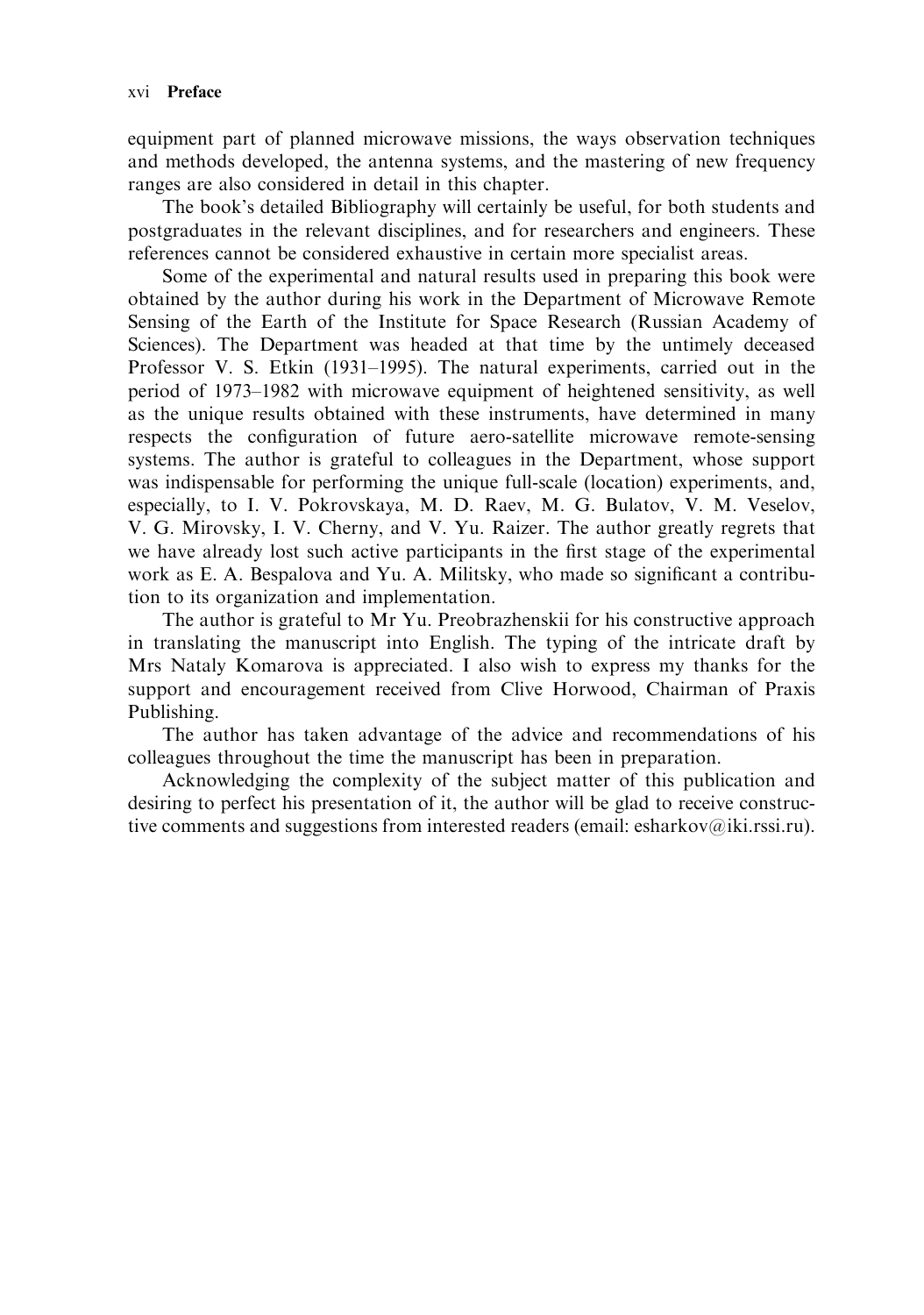equipment part of planned microwave missions, the ways observation techniques and methods developed, the antenna systems, and the mastering of new frequency ranges are also considered in detail in this chapter.

The book's detailed Bibliography will certainly be useful, for both students and postgraduates in the relevant disciplines, and for researchers and engineers. These references cannot be considered exhaustive in certain more specialist areas.

Some of the experimental and natural results used in preparing this book were obtained by the author during his work in the Department of Microwave Remote Sensing of the Earth of the Institute for Space Research (Russian Academy of Sciences). The Department was headed at that time by the untimely deceased Professor V. S. Etkin (1931–1995). The natural experiments, carried out in the period of 1973–1982 with microwave equipment of heightened sensitivity, as well as the unique results obtained with these instruments, have determined in many respects the configuration of future aero-satellite microwave remote-sensing systems. The author is grateful to colleagues in the Department, whose support was indispensable for performing the unique full-scale (location) experiments, and, especially, to I. V. Pokrovskaya, M. D. Raev, M. G. Bulatov, V. M. Veselov, V. G. Mirovsky, I. V. Cherny, and V. Yu. Raizer. The author greatly regrets that we have already lost such active participants in the first stage of the experimental work as E. A. Bespalova and Yu. A. Militsky, who made so significant a contribution to its organization and implementation.

The author is grateful to Mr Yu. Preobrazhenski for his constructive approach in translating the manuscript into English. The typing of the intricate draft by Mrs Nataly Komarova is appreciated. I also wish to express my thanks for the support and encouragement received from Clive Horwood, Chairman of Praxis Publishing.

The author has taken advantage of the advice and recommendations of his colleagues throughout the time the manuscript has been in preparation.

Acknowledging the complexity of the subject matter of this publication and desiring to perfect his presentation of it, the author will be glad to receive constructive comments and suggestions from interested readers (email: esharkov@iki.rssi.ru).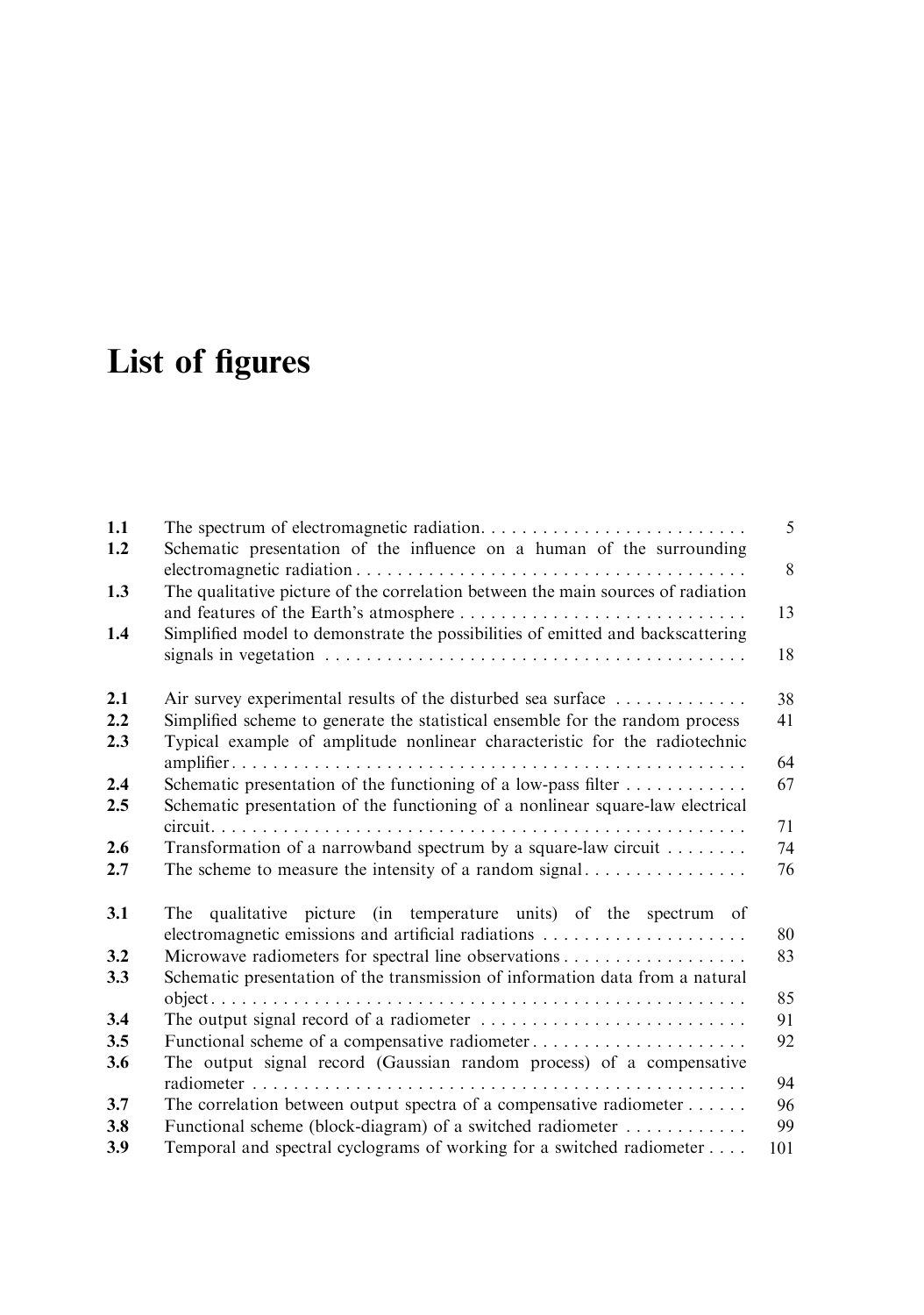### List of figures

| 1.1        |                                                                                                                                                                                                | 5   |
|------------|------------------------------------------------------------------------------------------------------------------------------------------------------------------------------------------------|-----|
| 1.2        | Schematic presentation of the influence on a human of the surrounding                                                                                                                          | 8   |
| 1.3        | The qualitative picture of the correlation between the main sources of radiation                                                                                                               | 13  |
| 1.4        | Simplified model to demonstrate the possibilities of emitted and backscattering<br>signals in vegetation $\ldots \ldots \ldots \ldots \ldots \ldots \ldots \ldots \ldots \ldots \ldots \ldots$ | 18  |
| 2.1        | Air survey experimental results of the disturbed sea surface $\dots \dots \dots$                                                                                                               | 38  |
| 2.2<br>2.3 | Simplified scheme to generate the statistical ensemble for the random process<br>Typical example of amplitude nonlinear characteristic for the radiotechnic                                    | 41  |
|            |                                                                                                                                                                                                | 64  |
| 2.4<br>2.5 | Schematic presentation of the functioning of a low-pass filter $\dots \dots \dots$<br>Schematic presentation of the functioning of a nonlinear square-law electrical                           | 67  |
|            |                                                                                                                                                                                                | 71  |
| 2.6        | Transformation of a narrowband spectrum by a square-law circuit                                                                                                                                | 74  |
| 2.7        | The scheme to measure the intensity of a random signal                                                                                                                                         | 76  |
| 3.1        | The qualitative picture (in temperature units) of the spectrum of                                                                                                                              |     |
|            | electromagnetic emissions and artificial radiations                                                                                                                                            | 80  |
| 3.2        | Microwave radiometers for spectral line observations                                                                                                                                           | 83  |
| 3.3        | Schematic presentation of the transmission of information data from a natural                                                                                                                  |     |
|            |                                                                                                                                                                                                | 85  |
| 3.4        | The output signal record of a radiometer $\dots \dots \dots \dots \dots \dots \dots \dots \dots$                                                                                               | 91  |
| 3.5        | Functional scheme of a compensative radiometer                                                                                                                                                 | 92  |
| 3.6        | The output signal record (Gaussian random process) of a compensative                                                                                                                           |     |
|            |                                                                                                                                                                                                | 94  |
| 3.7        | The correlation between output spectra of a compensative radiometer                                                                                                                            | 96  |
| 3.8        | Functional scheme (block-diagram) of a switched radiometer                                                                                                                                     | 99  |
| 3.9        | Temporal and spectral cyclograms of working for a switched radiometer                                                                                                                          | 101 |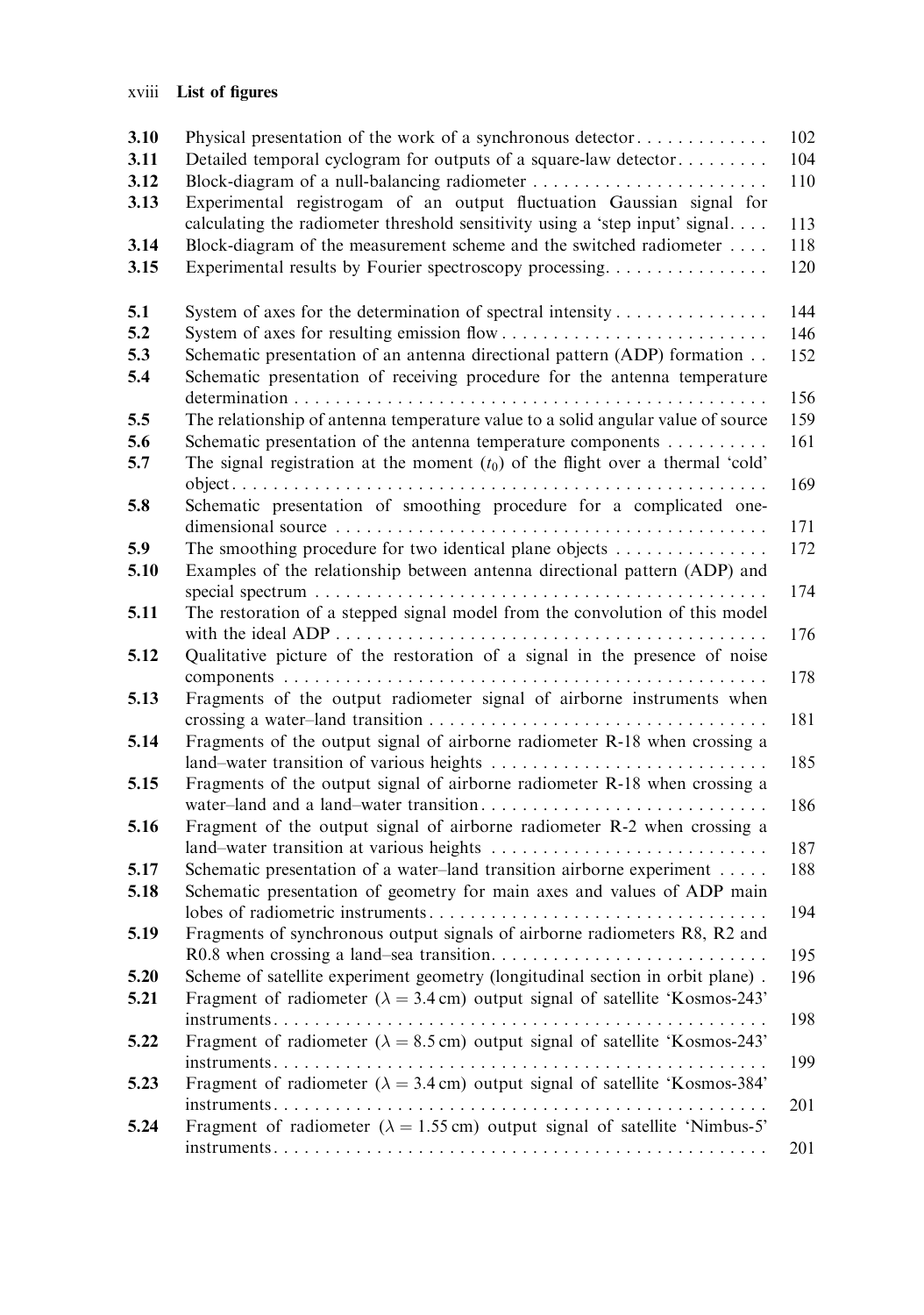#### xviii List of figures

| 3.10<br>3.11<br>3.12<br>3.13<br>3.14<br>3.15 | Physical presentation of the work of a synchronous detector<br>Detailed temporal cyclogram for outputs of a square-law detector<br>Experimental registrogam of an output fluctuation Gaussian signal for<br>calculating the radiometer threshold sensitivity using a 'step input' signal<br>Block-diagram of the measurement scheme and the switched radiometer<br>Experimental results by Fourier spectroscopy processing | 102<br>104<br>110<br>113<br>118<br>120 |
|----------------------------------------------|----------------------------------------------------------------------------------------------------------------------------------------------------------------------------------------------------------------------------------------------------------------------------------------------------------------------------------------------------------------------------------------------------------------------------|----------------------------------------|
| 5.1<br>5.2<br>5.3<br>5.4                     | System of axes for the determination of spectral intensity<br>Schematic presentation of an antenna directional pattern (ADP) formation<br>Schematic presentation of receiving procedure for the antenna temperature                                                                                                                                                                                                        | 144<br>146<br>152                      |
| 5.5<br>5.6<br>5.7                            | The relationship of antenna temperature value to a solid angular value of source<br>Schematic presentation of the antenna temperature components<br>The signal registration at the moment $(t_0)$ of the flight over a thermal 'cold'                                                                                                                                                                                      | 156<br>159<br>161                      |
| 5.8                                          | Schematic presentation of smoothing procedure for a complicated one-                                                                                                                                                                                                                                                                                                                                                       | 169<br>171                             |
| 5.9<br>5.10                                  | The smoothing procedure for two identical plane objects<br>Examples of the relationship between antenna directional pattern (ADP) and                                                                                                                                                                                                                                                                                      | 172                                    |
| 5.11                                         | The restoration of a stepped signal model from the convolution of this model                                                                                                                                                                                                                                                                                                                                               | 174                                    |
| 5.12                                         | Qualitative picture of the restoration of a signal in the presence of noise                                                                                                                                                                                                                                                                                                                                                | 176<br>178                             |
| 5.13                                         | Fragments of the output radiometer signal of airborne instruments when                                                                                                                                                                                                                                                                                                                                                     | 181                                    |
| 5.14                                         | Fragments of the output signal of airborne radiometer R-18 when crossing a                                                                                                                                                                                                                                                                                                                                                 | 185                                    |
| 5.15                                         | Fragments of the output signal of airborne radiometer R-18 when crossing a                                                                                                                                                                                                                                                                                                                                                 | 186                                    |
| 5.16                                         | Fragment of the output signal of airborne radiometer R-2 when crossing a<br>land-water transition at various heights                                                                                                                                                                                                                                                                                                       | 187                                    |
| 5.17<br>5.18                                 | Schematic presentation of a water-land transition airborne experiment<br>Schematic presentation of geometry for main axes and values of ADP main                                                                                                                                                                                                                                                                           | 188<br>194                             |
| 5.19                                         | Fragments of synchronous output signals of airborne radiometers R8, R2 and                                                                                                                                                                                                                                                                                                                                                 | 195                                    |
| 5.20<br>5.21                                 | Scheme of satellite experiment geometry (longitudinal section in orbit plane).<br>Fragment of radiometer ( $\lambda = 3.4$ cm) output signal of satellite 'Kosmos-243'                                                                                                                                                                                                                                                     | 196                                    |
| 5.22                                         | Fragment of radiometer ( $\lambda = 8.5$ cm) output signal of satellite 'Kosmos-243'                                                                                                                                                                                                                                                                                                                                       | 198                                    |
| 5.23                                         | Fragment of radiometer ( $\lambda = 3.4$ cm) output signal of satellite 'Kosmos-384'                                                                                                                                                                                                                                                                                                                                       | 199                                    |
| 5.24                                         | Fragment of radiometer ( $\lambda = 1.55$ cm) output signal of satellite 'Nimbus-5'                                                                                                                                                                                                                                                                                                                                        | 201<br>201                             |
|                                              |                                                                                                                                                                                                                                                                                                                                                                                                                            |                                        |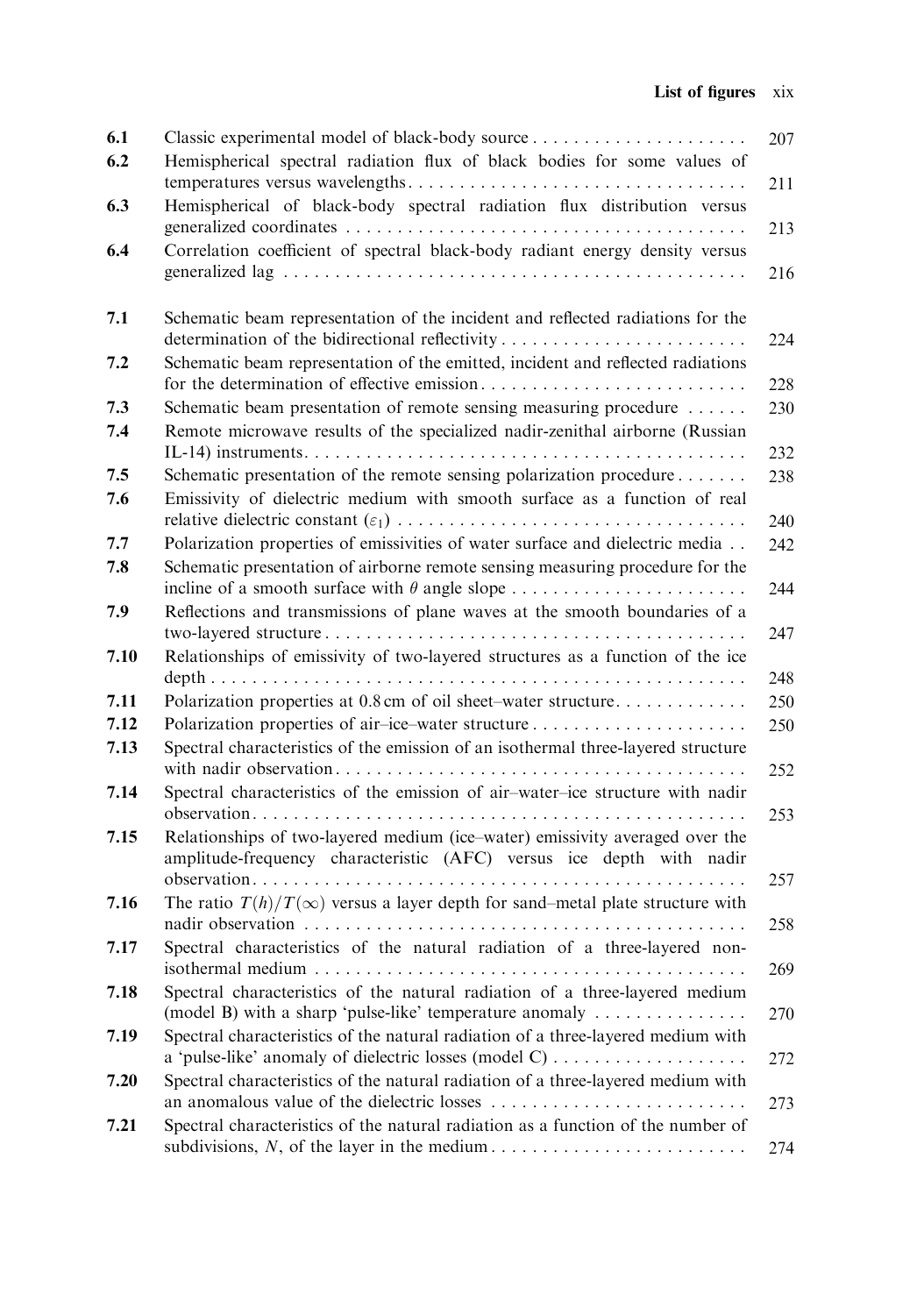| 6.1  |                                                                                                                                                      | 207 |
|------|------------------------------------------------------------------------------------------------------------------------------------------------------|-----|
| 6.2  | Hemispherical spectral radiation flux of black bodies for some values of                                                                             |     |
|      |                                                                                                                                                      | 211 |
| 6.3  | Hemispherical of black-body spectral radiation flux distribution versus                                                                              |     |
|      |                                                                                                                                                      | 213 |
| 6.4  | Correlation coefficient of spectral black-body radiant energy density versus                                                                         | 216 |
| 7.1  | Schematic beam representation of the incident and reflected radiations for the                                                                       |     |
|      |                                                                                                                                                      | 224 |
| 7.2  | Schematic beam representation of the emitted, incident and reflected radiations<br>for the determination of effective emission                       | 228 |
| 7.3  | Schematic beam presentation of remote sensing measuring procedure                                                                                    | 230 |
| 7.4  | Remote microwave results of the specialized nadir-zenithal airborne (Russian                                                                         |     |
|      |                                                                                                                                                      | 232 |
| 7.5  | Schematic presentation of the remote sensing polarization procedure                                                                                  | 238 |
| 7.6  | Emissivity of dielectric medium with smooth surface as a function of real                                                                            |     |
|      |                                                                                                                                                      | 240 |
| 7.7  | Polarization properties of emissivities of water surface and dielectric media                                                                        | 242 |
| 7.8  | Schematic presentation of airborne remote sensing measuring procedure for the                                                                        |     |
|      |                                                                                                                                                      | 244 |
| 7.9  | Reflections and transmissions of plane waves at the smooth boundaries of a                                                                           | 247 |
| 7.10 | Relationships of emissivity of two-layered structures as a function of the ice                                                                       |     |
|      |                                                                                                                                                      | 248 |
| 7.11 | Polarization properties at 0.8 cm of oil sheet-water structure                                                                                       | 250 |
| 7.12 |                                                                                                                                                      | 250 |
| 7.13 | Spectral characteristics of the emission of an isothermal three-layered structure                                                                    |     |
|      |                                                                                                                                                      | 252 |
| 7.14 | Spectral characteristics of the emission of air-water-ice structure with nadir                                                                       |     |
|      |                                                                                                                                                      | 253 |
| 7.15 | Relationships of two-layered medium (ice-water) emissivity averaged over the<br>amplitude-frequency characteristic (AFC) versus ice depth with nadir |     |
|      |                                                                                                                                                      | 257 |
| 7.16 | The ratio $T(h)/T(\infty)$ versus a layer depth for sand–metal plate structure with                                                                  |     |
|      |                                                                                                                                                      | 258 |
| 7.17 | Spectral characteristics of the natural radiation of a three-layered non-                                                                            |     |
|      |                                                                                                                                                      | 269 |
| 7.18 | Spectral characteristics of the natural radiation of a three-layered medium                                                                          |     |
| 7.19 | (model B) with a sharp 'pulse-like' temperature anomaly<br>Spectral characteristics of the natural radiation of a three-layered medium with          | 270 |
|      |                                                                                                                                                      | 272 |
| 7.20 | Spectral characteristics of the natural radiation of a three-layered medium with                                                                     |     |
|      |                                                                                                                                                      | 273 |
| 7.21 | Spectral characteristics of the natural radiation as a function of the number of                                                                     |     |
|      |                                                                                                                                                      | 274 |
|      |                                                                                                                                                      |     |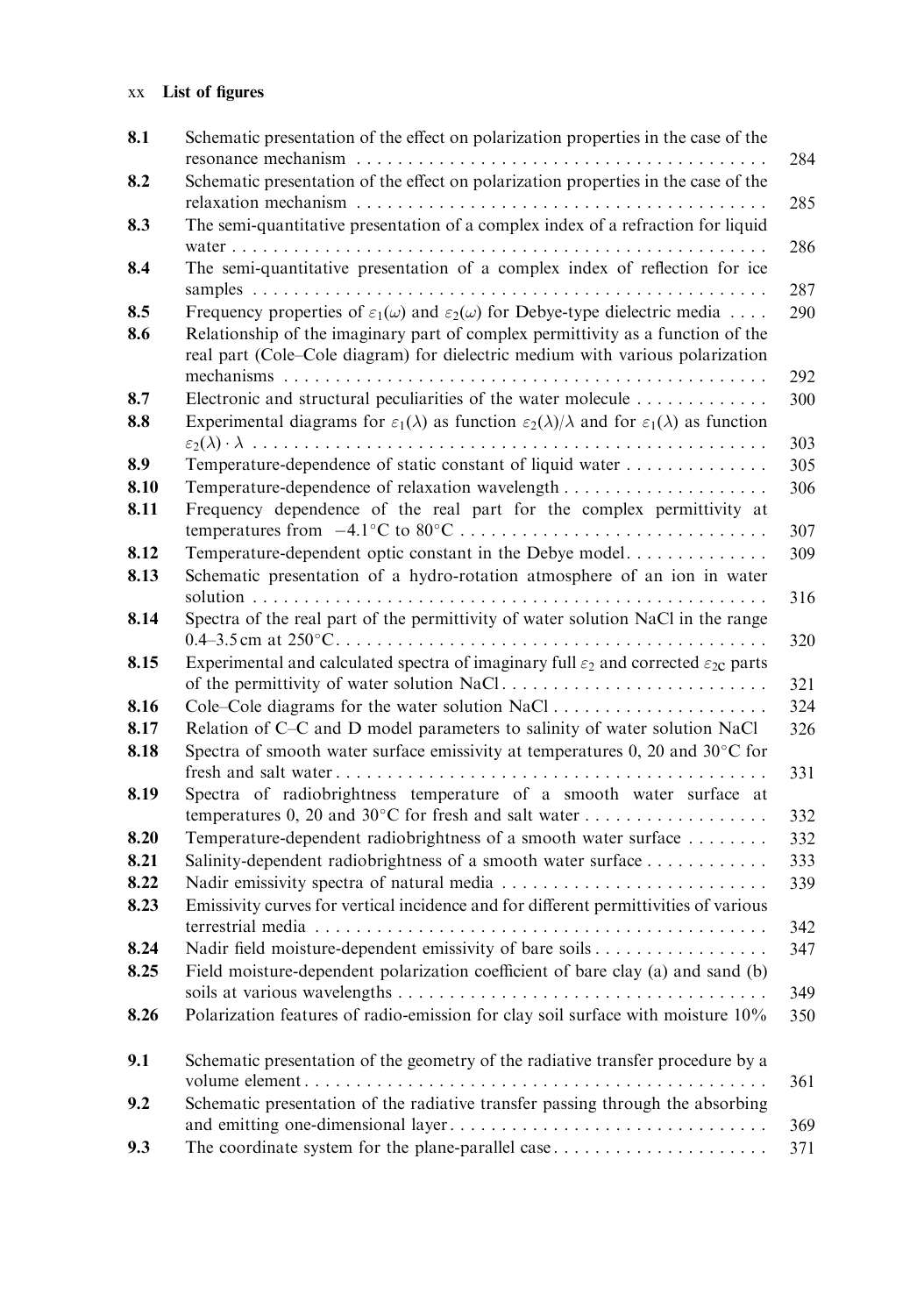#### xx List of figures

| 8.1  | Schematic presentation of the effect on polarization properties in the case of the                                                           |            |
|------|----------------------------------------------------------------------------------------------------------------------------------------------|------------|
|      |                                                                                                                                              | 284        |
| 8.2  | Schematic presentation of the effect on polarization properties in the case of the                                                           | 285        |
| 8.3  | The semi-quantitative presentation of a complex index of a refraction for liquid                                                             |            |
|      |                                                                                                                                              | 286        |
| 8.4  | The semi-quantitative presentation of a complex index of reflection for ice                                                                  |            |
|      |                                                                                                                                              | 287        |
| 8.5  | Frequency properties of $\varepsilon_1(\omega)$ and $\varepsilon_2(\omega)$ for Debye-type dielectric media                                  | 290        |
| 8.6  | Relationship of the imaginary part of complex permittivity as a function of the                                                              |            |
|      | real part (Cole-Cole diagram) for dielectric medium with various polarization                                                                |            |
| 8.7  | Electronic and structural peculiarities of the water molecule                                                                                | 292<br>300 |
| 8.8  | Experimental diagrams for $\varepsilon_1(\lambda)$ as function $\varepsilon_2(\lambda)/\lambda$ and for $\varepsilon_1(\lambda)$ as function |            |
|      |                                                                                                                                              | 303        |
| 8.9  | Temperature-dependence of static constant of liquid water                                                                                    | 305        |
| 8.10 |                                                                                                                                              | 306        |
| 8.11 | Frequency dependence of the real part for the complex permittivity at                                                                        |            |
|      |                                                                                                                                              | 307        |
| 8.12 | Temperature-dependent optic constant in the Debye model                                                                                      | 309        |
| 8.13 | Schematic presentation of a hydro-rotation atmosphere of an ion in water                                                                     |            |
|      |                                                                                                                                              | 316        |
| 8.14 | Spectra of the real part of the permittivity of water solution NaCl in the range                                                             | 320        |
| 8.15 | Experimental and calculated spectra of imaginary full $\varepsilon_2$ and corrected $\varepsilon_{2c}$ parts                                 |            |
|      |                                                                                                                                              | 321        |
| 8.16 |                                                                                                                                              | 324        |
| 8.17 | Relation of C–C and D model parameters to salinity of water solution NaCl                                                                    | 326        |
| 8.18 | Spectra of smooth water surface emissivity at temperatures $0$ , $20$ and $30^{\circ}$ C for                                                 |            |
|      |                                                                                                                                              | 331        |
| 8.19 | Spectra of radiobrightness temperature of a smooth water surface at                                                                          |            |
| 8.20 | temperatures $0, 20$ and $30^{\circ}$ C for fresh and salt water<br>Temperature-dependent radiobrightness of a smooth water surface          | 332<br>332 |
| 8.21 | Salinity-dependent radiobrightness of a smooth water surface                                                                                 | 333        |
| 8.22 |                                                                                                                                              | 339        |
| 8.23 | Emissivity curves for vertical incidence and for different permittivities of various                                                         |            |
|      |                                                                                                                                              | 342        |
| 8.24 | Nadir field moisture-dependent emissivity of bare soils                                                                                      | 347        |
| 8.25 | Field moisture-dependent polarization coefficient of bare clay (a) and sand (b)                                                              |            |
|      |                                                                                                                                              | 349        |
| 8.26 | Polarization features of radio-emission for clay soil surface with moisture 10%                                                              | 350        |
| 9.1  | Schematic presentation of the geometry of the radiative transfer procedure by a                                                              |            |
|      |                                                                                                                                              | 361        |
| 9.2  | Schematic presentation of the radiative transfer passing through the absorbing                                                               |            |
| 9.3  |                                                                                                                                              | 369<br>371 |
|      |                                                                                                                                              |            |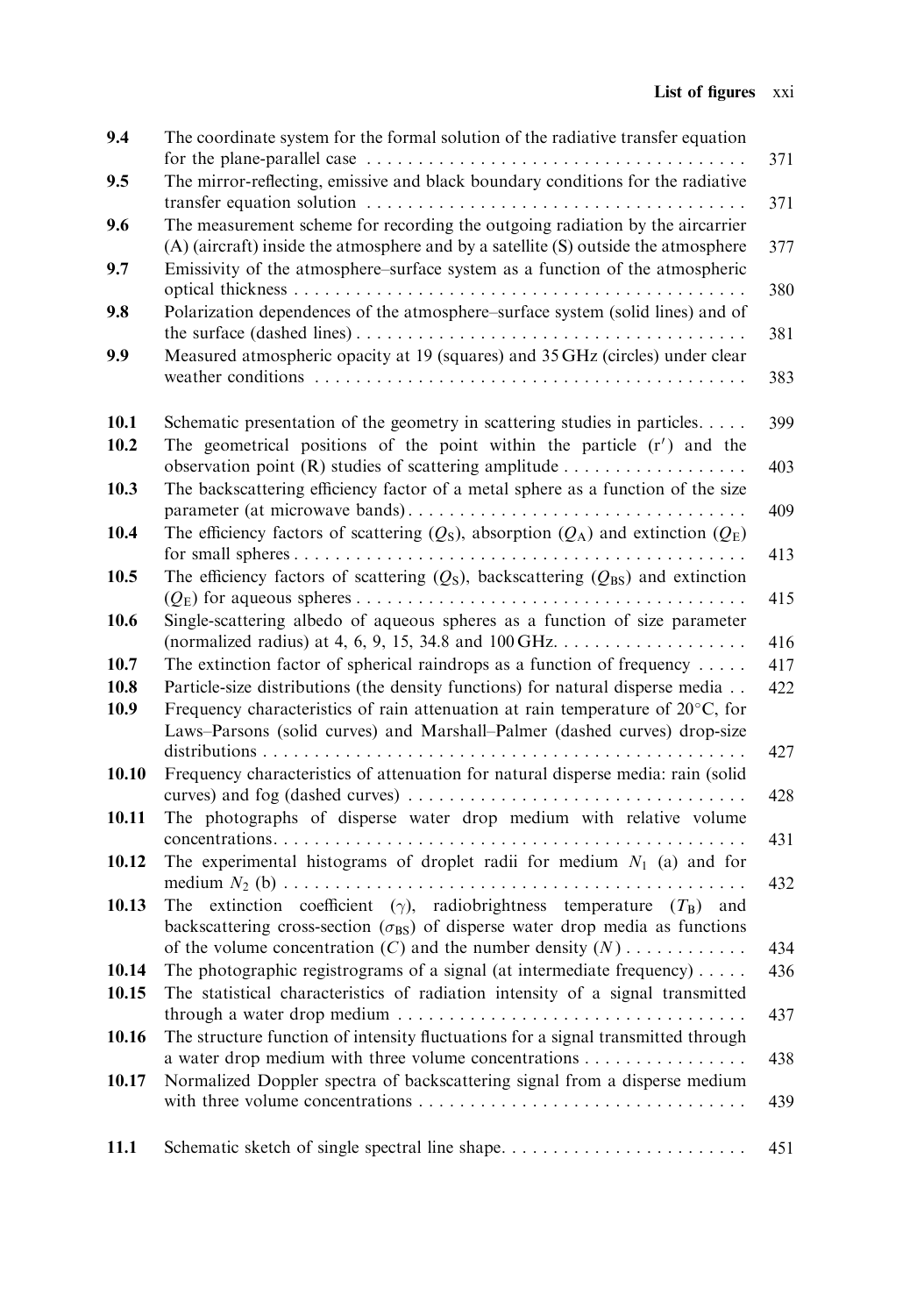| 9.4   | The coordinate system for the formal solution of the radiative transfer equation                                                                                             | 371 |
|-------|------------------------------------------------------------------------------------------------------------------------------------------------------------------------------|-----|
| 9.5   | The mirror-reflecting, emissive and black boundary conditions for the radiative                                                                                              |     |
|       |                                                                                                                                                                              | 371 |
| 9.6   | The measurement scheme for recording the outgoing radiation by the aircarrier<br>(A) (aircraft) inside the atmosphere and by a satellite (S) outside the atmosphere          | 377 |
| 9.7   | Emissivity of the atmosphere-surface system as a function of the atmospheric                                                                                                 | 380 |
| 9.8   | Polarization dependences of the atmosphere-surface system (solid lines) and of                                                                                               | 381 |
| 9.9   | Measured atmospheric opacity at 19 (squares) and 35 GHz (circles) under clear                                                                                                | 383 |
| 10.1  | Schematic presentation of the geometry in scattering studies in particles.                                                                                                   | 399 |
| 10.2  | The geometrical positions of the point within the particle $(r')$ and the                                                                                                    |     |
| 10.3  | The backscattering efficiency factor of a metal sphere as a function of the size                                                                                             | 403 |
|       |                                                                                                                                                                              | 409 |
| 10.4  | The efficiency factors of scattering $(QS)$ , absorption $(QA)$ and extinction $(QE)$                                                                                        | 413 |
| 10.5  | The efficiency factors of scattering $(QS)$ , backscattering $(QBS)$ and extinction                                                                                          |     |
|       |                                                                                                                                                                              | 415 |
| 10.6  | Single-scattering albedo of aqueous spheres as a function of size parameter<br>(normalized radius) at 4, 6, 9, 15, 34.8 and $100 \text{ GHz.} \dots \dots \dots \dots \dots$ | 416 |
| 10.7  | The extinction factor of spherical raindrops as a function of frequency                                                                                                      | 417 |
| 10.8  | Particle-size distributions (the density functions) for natural disperse media                                                                                               | 422 |
| 10.9  | Frequency characteristics of rain attenuation at rain temperature of $20^{\circ}$ C, for                                                                                     |     |
|       | Laws-Parsons (solid curves) and Marshall-Palmer (dashed curves) drop-size                                                                                                    | 427 |
| 10.10 | Frequency characteristics of attenuation for natural disperse media: rain (solid                                                                                             |     |
|       |                                                                                                                                                                              | 428 |
| 10.11 | The photographs of disperse water drop medium with relative volume                                                                                                           |     |
|       |                                                                                                                                                                              | 431 |
| 10.12 | The experimental histograms of droplet radii for medium $N_1$ (a) and for                                                                                                    |     |
| 10.13 | The extinction coefficient ( $\gamma$ ), radiobrightness temperature ( $T_B$ ) and                                                                                           | 432 |
|       | backscattering cross-section ( $\sigma_{BS}$ ) of disperse water drop media as functions                                                                                     |     |
|       | of the volume concentration $(C)$ and the number density $(N)$                                                                                                               | 434 |
| 10.14 | The photographic registrograms of a signal (at intermediate frequency)                                                                                                       | 436 |
| 10.15 | The statistical characteristics of radiation intensity of a signal transmitted                                                                                               |     |
|       |                                                                                                                                                                              | 437 |
| 10.16 | The structure function of intensity fluctuations for a signal transmitted through                                                                                            |     |
|       | a water drop medium with three volume concentrations                                                                                                                         | 438 |
| 10.17 | Normalized Doppler spectra of backscattering signal from a disperse medium                                                                                                   | 439 |
|       |                                                                                                                                                                              |     |
| 11.1  | Schematic sketch of single spectral line shape                                                                                                                               | 451 |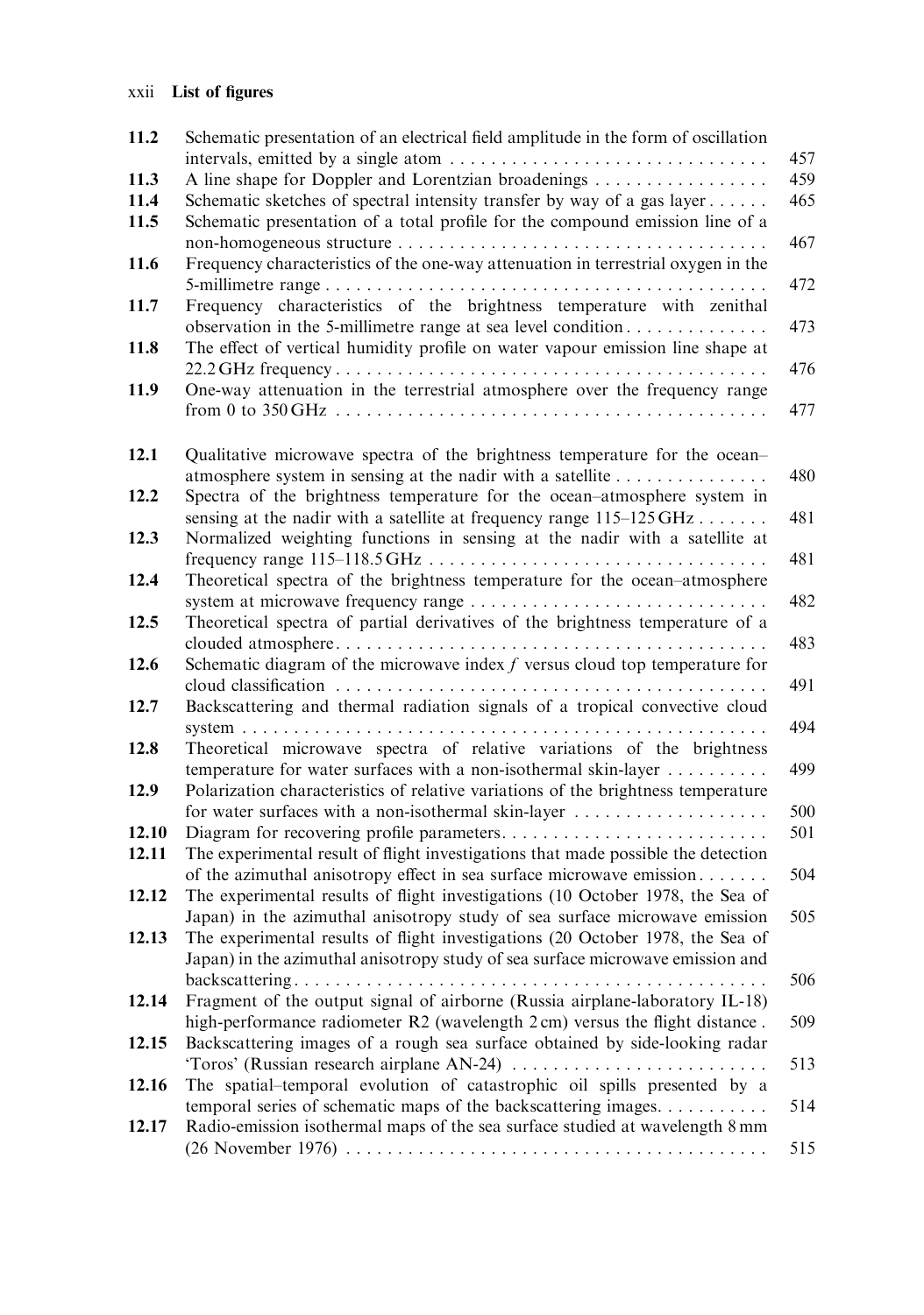| 11.2           | Schematic presentation of an electrical field amplitude in the form of oscillation                                                                                                                                                             | 457 |
|----------------|------------------------------------------------------------------------------------------------------------------------------------------------------------------------------------------------------------------------------------------------|-----|
| 11.3           | A line shape for Doppler and Lorentzian broadenings                                                                                                                                                                                            | 459 |
| 11.4           | Schematic sketches of spectral intensity transfer by way of a gas layer                                                                                                                                                                        | 465 |
| 11.5           | Schematic presentation of a total profile for the compound emission line of a                                                                                                                                                                  | 467 |
| 11.6           | Frequency characteristics of the one-way attenuation in terrestrial oxygen in the                                                                                                                                                              | 472 |
| 11.7           | Frequency characteristics of the brightness temperature with zenithal<br>observation in the 5-millimetre range at sea level condition                                                                                                          | 473 |
| 11.8           | The effect of vertical humidity profile on water vapour emission line shape at                                                                                                                                                                 | 476 |
| 11.9           | One-way attenuation in the terrestrial atmosphere over the frequency range                                                                                                                                                                     | 477 |
| 12.1           | Qualitative microwave spectra of the brightness temperature for the ocean-<br>atmosphere system in sensing at the nadir with a satellite                                                                                                       | 480 |
| 12.2           | Spectra of the brightness temperature for the ocean-atmosphere system in<br>sensing at the nadir with a satellite at frequency range 115-125 GHz                                                                                               | 481 |
| 12.3           | Normalized weighting functions in sensing at the nadir with a satellite at                                                                                                                                                                     | 481 |
| 12.4           | Theoretical spectra of the brightness temperature for the ocean-atmosphere                                                                                                                                                                     | 482 |
| 12.5           | Theoretical spectra of partial derivatives of the brightness temperature of a                                                                                                                                                                  | 483 |
| 12.6           | Schematic diagram of the microwave index $f$ versus cloud top temperature for                                                                                                                                                                  | 491 |
| 12.7           | Backscattering and thermal radiation signals of a tropical convective cloud                                                                                                                                                                    | 494 |
| 12.8           | Theoretical microwave spectra of relative variations of the brightness<br>temperature for water surfaces with a non-isothermal skin-layer                                                                                                      | 499 |
| 12.9           | Polarization characteristics of relative variations of the brightness temperature<br>for water surfaces with a non-isothermal skin-layer                                                                                                       | 500 |
| 12.10<br>12.11 | The experimental result of flight investigations that made possible the detection                                                                                                                                                              | 501 |
| 12.12          | of the azimuthal anisotropy effect in sea surface microwave emission<br>The experimental results of flight investigations (10 October 1978, the Sea of                                                                                         | 504 |
| 12.13          | Japan) in the azimuthal anisotropy study of sea surface microwave emission<br>The experimental results of flight investigations (20 October 1978, the Sea of<br>Japan) in the azimuthal anisotropy study of sea surface microwave emission and | 505 |
| 12.14          | $backscattering \dots \dots \dots \dots \dots \dots \dots \dots$<br>Fragment of the output signal of airborne (Russia airplane-laboratory IL-18)                                                                                               | 506 |
| 12.15          | high-performance radiometer R2 (wavelength 2 cm) versus the flight distance.<br>Backscattering images of a rough sea surface obtained by side-looking radar                                                                                    | 509 |
| 12.16          | The spatial-temporal evolution of catastrophic oil spills presented by a                                                                                                                                                                       | 513 |
| 12.17          | temporal series of schematic maps of the backscattering images.<br>Radio-emission isothermal maps of the sea surface studied at wavelength 8 mm                                                                                                | 514 |
|                |                                                                                                                                                                                                                                                | 515 |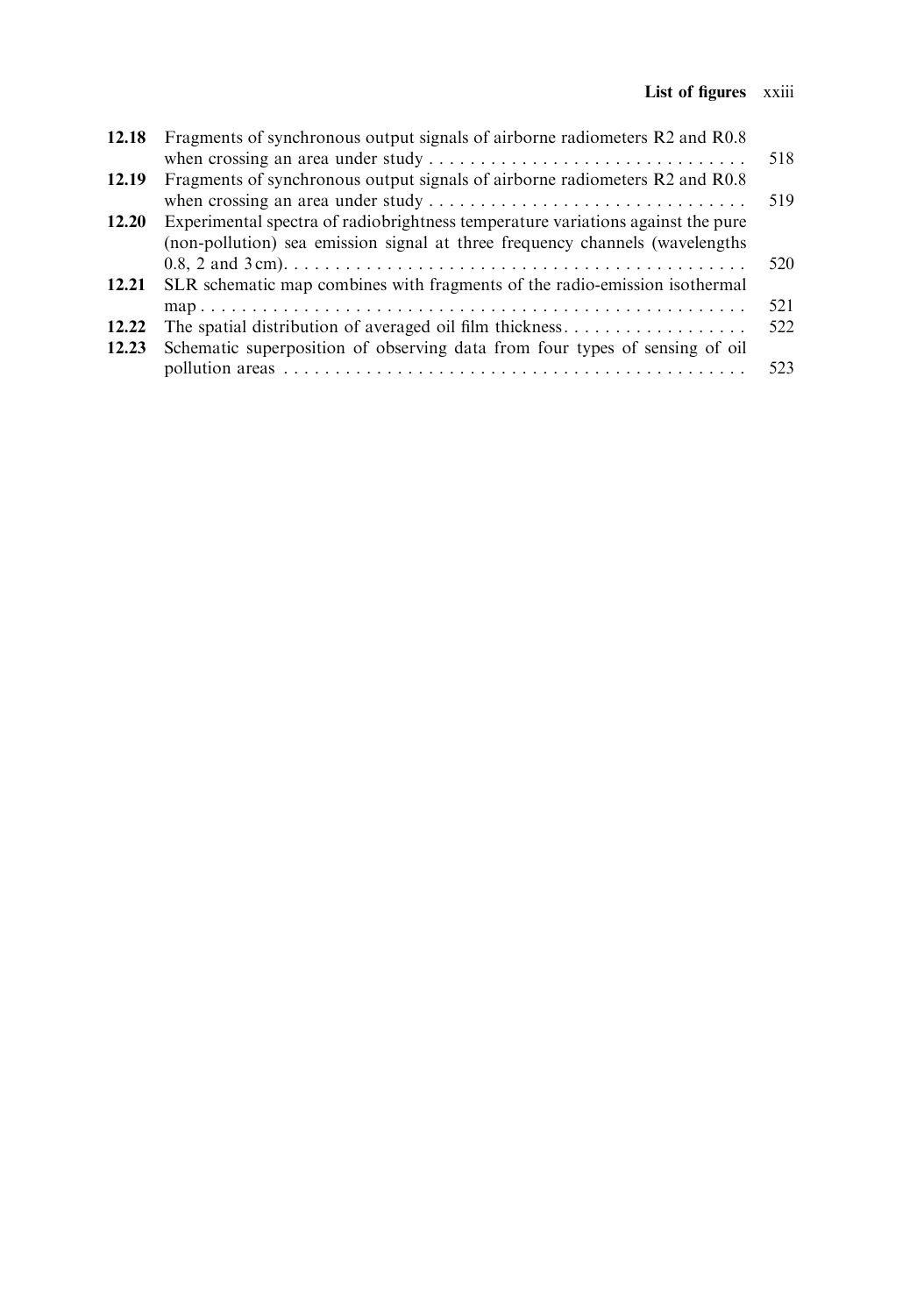| 12.18 | Fragments of synchronous output signals of airborne radiometers R2 and R0.8     |     |
|-------|---------------------------------------------------------------------------------|-----|
|       |                                                                                 | 518 |
| 12.19 | Fragments of synchronous output signals of airborne radiometers R2 and R0.8     |     |
|       |                                                                                 | 519 |
| 12.20 | Experimental spectra of radiobrightness temperature variations against the pure |     |
|       | (non-pollution) sea emission signal at three frequency channels (wavelengths    |     |
|       |                                                                                 | 520 |
| 12.21 | SLR schematic map combines with fragments of the radio-emission isothermal      |     |
|       |                                                                                 | 521 |
| 12.22 |                                                                                 | 522 |
| 12.23 | Schematic superposition of observing data from four types of sensing of oil     |     |
|       |                                                                                 | 523 |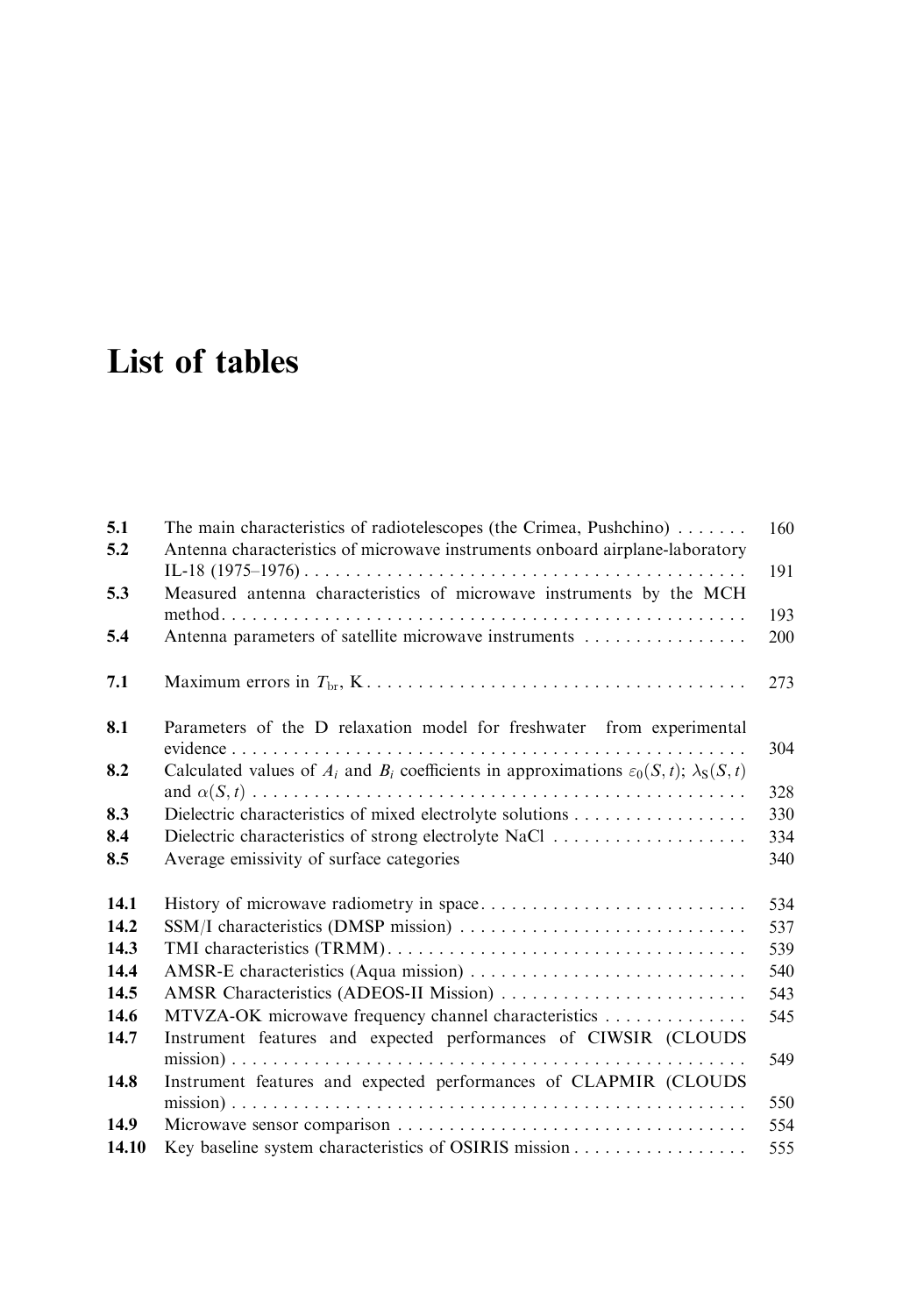### List of tables

| 5.1<br>5.2 | The main characteristics of radiotelescopes (the Crimea, Pushchino)<br>Antenna characteristics of microwave instruments onboard airplane-laboratory | 160<br>191 |
|------------|-----------------------------------------------------------------------------------------------------------------------------------------------------|------------|
| 5.3        | Measured antenna characteristics of microwave instruments by the MCH                                                                                | 193        |
| 5.4        | Antenna parameters of satellite microwave instruments                                                                                               | 200        |
| 7.1        |                                                                                                                                                     | 273        |
| 8.1        | Parameters of the D relaxation model for freshwater from experimental                                                                               | 304        |
| 8.2        | Calculated values of $A_i$ and $B_i$ coefficients in approximations $\varepsilon_0(S, t)$ ; $\lambda_S(S, t)$                                       | 328        |
| 8.3        | Dielectric characteristics of mixed electrolyte solutions                                                                                           | 330        |
| 8.4        | Dielectric characteristics of strong electrolyte NaCl                                                                                               | 334        |
| 8.5        | Average emissivity of surface categories                                                                                                            | 340        |
| 14.1       |                                                                                                                                                     | 534        |
| 14.2       | SSM/I characteristics (DMSP mission)                                                                                                                | 537        |
| 14.3       |                                                                                                                                                     | 539        |
| 14.4       |                                                                                                                                                     | 540        |
| 14.5       | AMSR Characteristics (ADEOS-II Mission)                                                                                                             | 543        |
| 14.6       | MTVZA-OK microwave frequency channel characteristics                                                                                                | 545        |
| 14.7       | Instrument features and expected performances of CIWSIR (CLOUDS                                                                                     | 549        |
| 14.8       | Instrument features and expected performances of CLAPMIR (CLOUDS                                                                                    | 550        |
| 14.9       |                                                                                                                                                     | 554        |
| 14.10      | Key baseline system characteristics of OSIRIS mission                                                                                               | 555        |